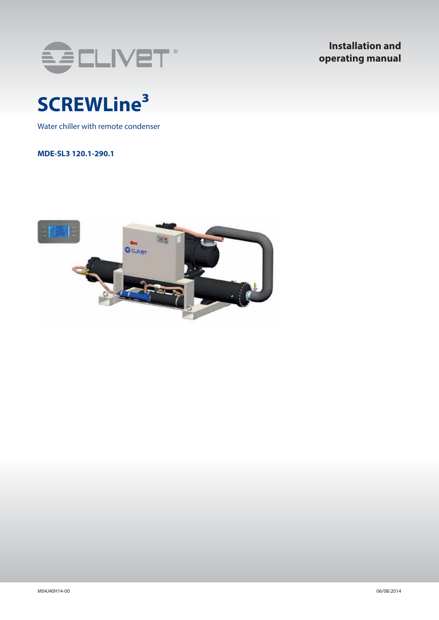

**Installation and operating manual**



Water chiller with remote condenser

**MDE-SL3 120.1-290.1**

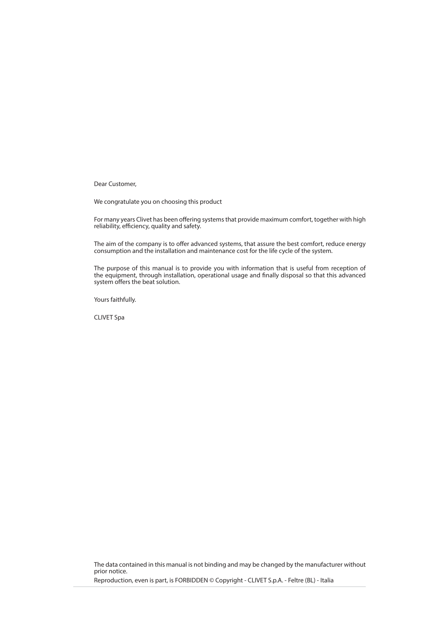Dear Customer,

We congratulate you on choosing this product

For many years Clivet has been offering systems that provide maximum comfort, together with high reliability, efficiency, quality and safety.

The aim of the company is to offer advanced systems, that assure the best comfort, reduce energy consumption and the installation and maintenance cost for the life cycle of the system.

The purpose of this manual is to provide you with information that is useful from reception of the equipment, through installation, operational usage and finally disposal so that this advanced system offers the beat solution.

Yours faithfully.

CLIVET Spa

The data contained in this manual is not binding and may be changed by the manufacturer without prior notice. Reproduction, even is part, is FORBIDDEN © Copyright - CLIVET S.p.A. - Feltre (BL) - Italia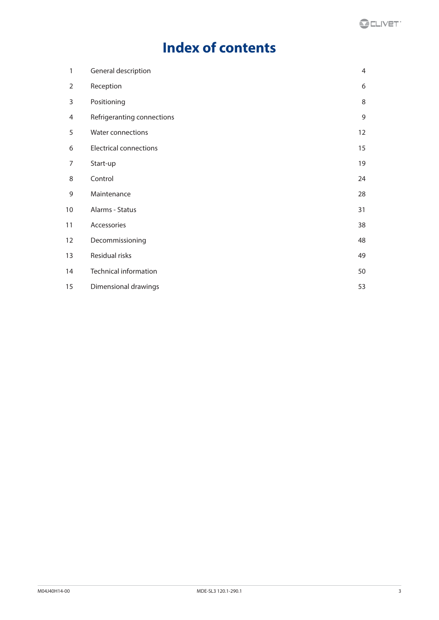# **Index of contents**

| 1              | General description           | $\overline{4}$ |
|----------------|-------------------------------|----------------|
| $\overline{2}$ | Reception                     | 6              |
| 3              | Positioning                   | 8              |
| 4              | Refrigeranting connections    | 9              |
| 5              | Water connections             | 12             |
| 6              | <b>Electrical connections</b> | 15             |
| 7              | Start-up                      | 19             |
| 8              | Control                       | 24             |
| 9              | Maintenance                   | 28             |
| 10             | Alarms - Status               | 31             |
| 11             | Accessories                   | 38             |
| 12             | Decommissioning               | 48             |
| 13             | Residual risks                | 49             |
| 14             | <b>Technical information</b>  | 50             |
| 15             | Dimensional drawings          | 53             |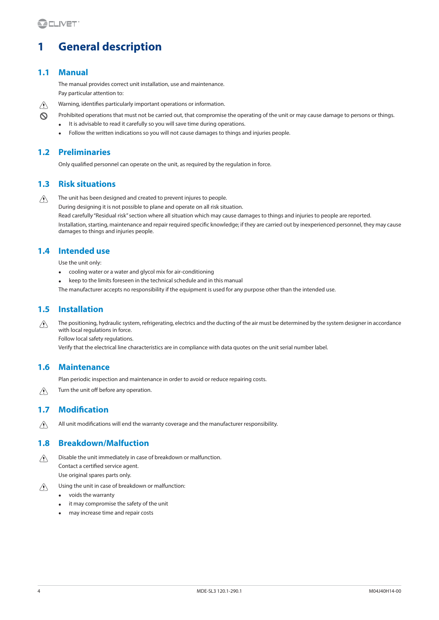# **1 General description**

### **1.1 Manual**

 $\Omega$ 

The manual provides correct unit installation, use and maintenance. Pay particular attention to:

- Warning, identifies particularly important operations or information.  $\wedge$ 
	- Prohibited operations that must not be carried out, that compromise the operating of the unit or may cause damage to persons or things. • It is advisable to read it carefully so you will save time during operations.
		-
		- Follow the written indications so you will not cause damages to things and injuries people.

#### **1.2 Preliminaries**

Only qualified personnel can operate on the unit, as required by the regulation in force.

#### **1.3 Risk situations**

The unit has been designed and created to prevent injures to people.  $\bigwedge$ 

During designing it is not possible to plane and operate on all risk situation.

Read carefully "Residual risk" section where all situation which may cause damages to things and injuries to people are reported. Installation, starting, maintenance and repair required specific knowledge; if they are carried out by inexperienced personnel, they may cause damages to things and injuries people.

### **1.4 Intended use**

Use the unit only:

- cooling water or a water and glycol mix for air-conditioning
- keep to the limits foreseen in the technical schedule and in this manual

The manufacturer accepts no responsibility if the equipment is used for any purpose other than the intended use.

#### **1.5 Installation**

The positioning, hydraulic system, refrigerating, electrics and the ducting of the air must be determined by the system designer in accordance  $\bigwedge$ with local regulations in force.

Follow local safety regulations.

Verify that the electrical line characteristics are in compliance with data quotes on the unit serial number label.

#### **1.6 Maintenance**

Plan periodic inspection and maintenance in order to avoid or reduce repairing costs.

Turn the unit off before any operation.  $\bigwedge$ 

## **1.7 Modification**

All unit modifications will end the warranty coverage and the manufacturer responsibility.  $\bigwedge$ 

#### **1.8 Breakdown/Malfuction**

- Disable the unit immediately in case of breakdown or malfunction.  $\bigwedge$ Contact a certified service agent. Use original spares parts only.
- Using the unit in case of breakdown or malfunction:  $\bigwedge$ 
	- voids the warranty
	- it may compromise the safety of the unit
	- may increase time and repair costs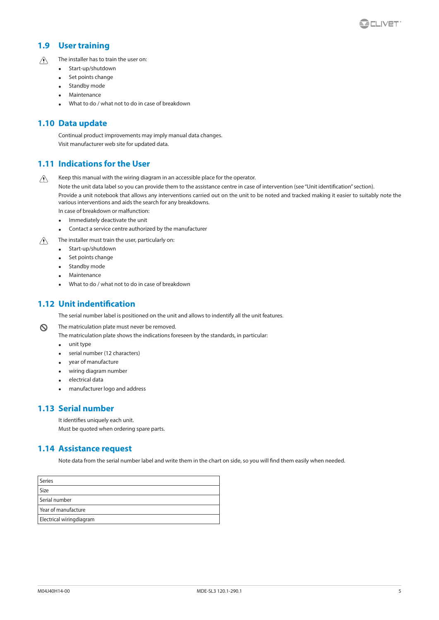

## **1.9 User training**

 $\bigwedge$ The installer has to train the user on:

- Start-up/shutdown
- Set points change
- Standby mode
- **Maintenance**
- What to do / what not to do in case of breakdown

### **1.10 Data update**

Continual product improvements may imply manual data changes. Visit manufacturer web site for updated data.

### **1.11 Indications for the User**

Keep this manual with the wiring diagram in an accessible place for the operator.  $\bigwedge$ 

Note the unit data label so you can provide them to the assistance centre in case of intervention (see "Unit identification" section). Provide a unit notebook that allows any interventions carried out on the unit to be noted and tracked making it easier to suitably note the various interventions and aids the search for any breakdowns.

In case of breakdown or malfunction:

- Immediately deactivate the unit
- Contact a service centre authorized by the manufacturer

The installer must train the user, particularly on:  $\bigwedge$ 

- Start-up/shutdown
- Set points change
- Standby mode
- Maintenance
- What to do / what not to do in case of breakdown

### **1.12 Unit indentification**

The serial number label is positioned on the unit and allows to indentify all the unit features.

The matriculation plate must never be removed.  $\infty$ 

The matriculation plate shows the indications foreseen by the standards, in particular:

- unit type
- serial number (12 characters)
- year of manufacture
- wiring diagram number
- electrical data
- manufacturer logo and address

#### **1.13 Serial number**

It identifies uniquely each unit. Must be quoted when ordering spare parts.

#### **1.14 Assistance request**

Note data from the serial number label and write them in the chart on side, so you will find them easily when needed.

| Series                   |  |
|--------------------------|--|
| Size                     |  |
| Serial number            |  |
| Year of manufacture      |  |
| Electrical wiringdiagram |  |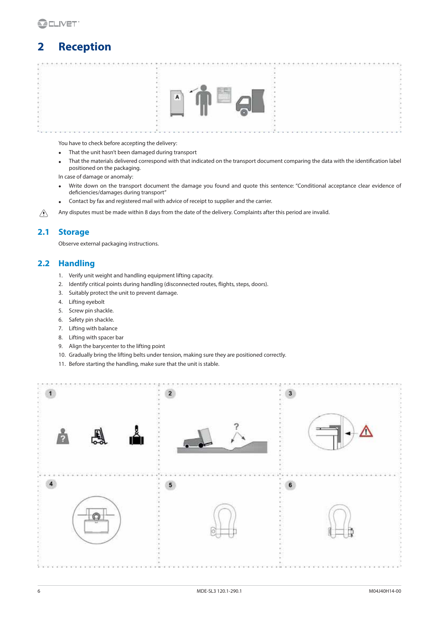# **CLIVET**

# **2 Reception**

| A                                  |  |
|------------------------------------|--|
| <b><i><u>International</u></i></b> |  |
|                                    |  |
|                                    |  |
|                                    |  |
|                                    |  |
|                                    |  |
|                                    |  |
|                                    |  |

You have to check before accepting the delivery:

- That the unit hasn't been damaged during transport
- That the materials delivered correspond with that indicated on the transport document comparing the data with the identification label positioned on the packaging.

In case of damage or anomaly:

- Write down on the transport document the damage you found and quote this sentence: "Conditional acceptance clear evidence of deficiencies/damages during transport"
- Contact by fax and registered mail with advice of receipt to supplier and the carrier.
- $\bigwedge$ Any disputes must be made within 8 days from the date of the delivery. Complaints after this period are invalid.

### **2.1 Storage**

Observe external packaging instructions.

## **2.2 Handling**

- 1. Verify unit weight and handling equipment lifting capacity.
- 2. Identify critical points during handling (disconnected routes, flights, steps, doors).
- 3. Suitably protect the unit to prevent damage.
- 4. Lifting eyebolt
- 5. Screw pin shackle.
- 6. Safety pin shackle.
- 7. Lifting with balance
- 8. Lifting with spacer bar
- 9. Align the barycenter to the lifting point
- 10. Gradually bring the lifting belts under tension, making sure they are positioned correctly.
- 11. Before starting the handling, make sure that the unit is stable.

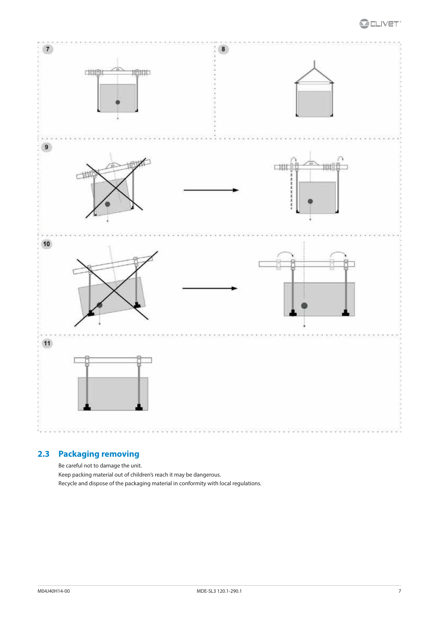

# **2.3 Packaging removing**

Be careful not to damage the unit. Keep packing material out of children's reach it may be dangerous. Recycle and dispose of the packaging material in conformity with local regulations.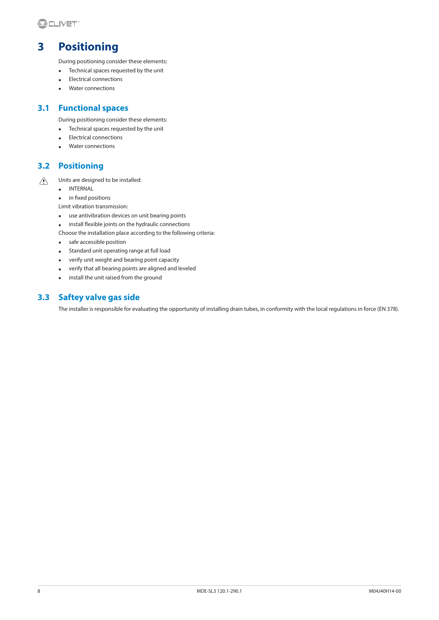# **3 Positioning**

During positioning consider these elements:

- Technical spaces requested by the unit
- Electrical connections
- Water connections

## **3.1 Functional spaces**

During positioning consider these elements:

- Technical spaces requested by the unit
- Electrical connections
- Water connections

### **3.2 Positioning**

 $\triangle$ Units are designed to be installed:

- INTERNAL
- in fixed positions

Limit vibration transmission:

- use antivibration devices on unit bearing points
- install flexible joints on the hydraulic connections
- Choose the installation place according to the following criteria:
- safe accessible position
- Standard unit operating range at full load
- verify unit weight and bearing point capacity<br>• verify that all bearing points are aligned and l
- verify that all bearing points are aligned and leveled
- install the unit raised from the ground

### **3.3 Saftey valve gas side**

The installer is responsible for evaluating the opportunity of installing drain tubes, in conformity with the local regulations in force (EN 378).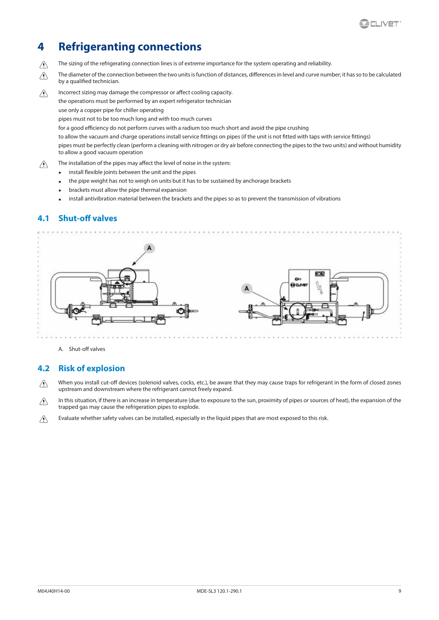

# **4 Refrigeranting connections**

 $\hat{\wedge}$ The sizing of the refrigerating connection lines is of extreme importance for the system operating and reliability.

- The diameter of the connection between the two units is function of distances, differences in level and curve number; it has so to be calculated  $\bigwedge$ by a qualified technician.
- Incorrect sizing may damage the compressor or affect cooling capacity.  $\bigwedge$ the operations must be performed by an expert refrigerator technician
	- use only a copper pipe for chiller operating

pipes must not to be too much long and with too much curves

for a good efficiency do not perform curves with a radium too much short and avoid the pipe crushing

to allow the vacuum and charge operations install service fittings on pipes (if the unit is not fitted with taps with service fittings) pipes must be perfectly clean (perform a cleaning with nitrogen or dry air before connecting the pipes to the two units) and without humidity to allow a good vacuum operation

- The installation of the pipes may affect the level of noise in the system:  $\bigwedge$ 
	- install flexible joints between the unit and the pipes
	- the pipe weight has not to weigh on units but it has to be sustained by anchorage brackets
	- brackets must allow the pipe thermal expansion
	- install antivibration material between the brackets and the pipes so as to prevent the transmission of vibrations

### **4.1 Shut-off valves**



A. Shut-off valves

### **4.2 Risk of explosion**

- When you install cut-off devices (solenoid valves, cocks, etc.), be aware that they may cause traps for refrigerant in the form of closed zones  $\bigwedge$ upstream and downstream where the refrigerant cannot freely expand.
- In this situation, if there is an increase in temperature (due to exposure to the sun, proximity of pipes or sources of heat), the expansion of the  $\bigwedge$ trapped gas may cause the refrigeration pipes to explode.
- Evaluate whether safety valves can be installed, especially in the liquid pipes that are most exposed to this risk. $\bigwedge$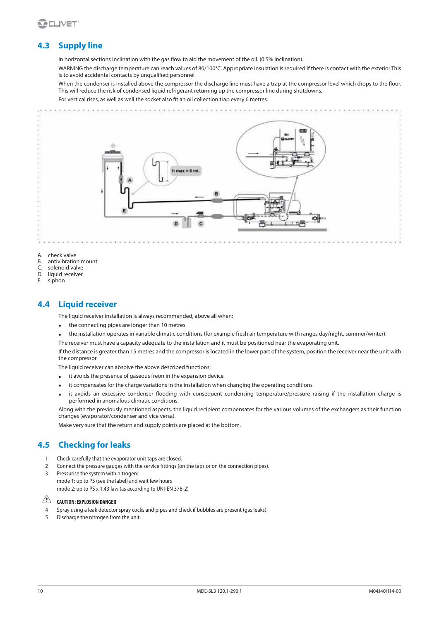

# **4.3 Supply line**

In horizontal sections Inclination with the gas flow to aid the movement of the oil. (0.5% inclination).

WARNING the discharge temperature can reach values of 80/100°C. Appropriate insulation is required if there is contact with the exterior.This is to avoid accidental contacts by unqualified personnel.

When the condenser is installed above the compressor the discharge line must have a trap at the compressor level which drops to the floor. This will reduce the risk of condensed liquid refrigerant returning up the compressor line during shutdowns.

For vertical rises, as well as well the socket also fit an oil collection trap every 6 metres.



A. check valve<br>B. antivibratio

- B. antivibration mount<br>C. solenoid valve
- C. solenoid valve<br>D. liquid receiver
- D. liquid receiver<br>E. siphon
- siphon

#### **4.4 Liquid receiver**

The liquid receiver installation is always recommended, above all when:

- the connecting pipes are longer than 10 metres
- the installation operates in variable climatic conditions (for example fresh air temperature with ranges day/night, summer/winter).

The receiver must have a capacity adequate to the installation and it must be positioned near the evaporating unit.

If the distance is greater than 15 metres and the compressor is located in the lower part of the system, position the receiver near the unit with the compressor.

The liquid receiver can absolve the above described functions:

- it avoids the presence of gaseous freon in the expansion device
- it compensates for the charge variations in the installation when changing the operating conditions
- it avoids an excessive condenser flooding with consequent condensing temperature/pressure raising if the installation charge is performed in anomalous climatic conditions.

Along with the previously mentioned aspects, the liquid recipient compensates for the various volumes of the exchangers as their function changes (evaporator/condenser and vice versa).

Make very sure that the return and supply points are placed at the bottom.

# **4.5 Checking for leaks**

- 1 Check carefully that the evaporator unit taps are closed.
- 2 Connect the pressure gauges with the service fittings (on the taps or on the connection pipes).
- 3 Pressurise the system with nitrogen:
- mode 1: up to PS (see the label) and wait few hours mode 2: up to PS x 1,43 law (as according to UNI-EN 378-2)

# **CAUTION: EXPLOSION DANGER**

- 4 Spray using a leak detector spray cocks and pipes and check if bubbles are present (gas leaks).
- 5 Discharge the nitrogen from the unit.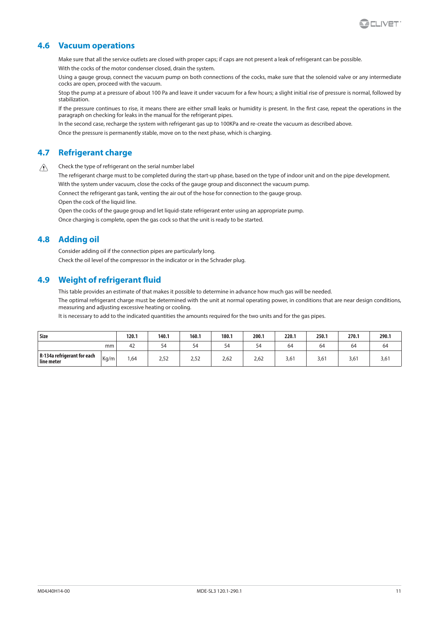

### **4.6 Vacuum operations**

Make sure that all the service outlets are closed with proper caps; if caps are not present a leak of refrigerant can be possible.

With the cocks of the motor condenser closed, drain the system.

Using a gauge group, connect the vacuum pump on both connections of the cocks, make sure that the solenoid valve or any intermediate cocks are open, proceed with the vacuum.

Stop the pump at a pressure of about 100 Pa and leave it under vacuum for a few hours; a slight initial rise of pressure is normal, followed by stabilization.

If the pressure continues to rise, it means there are either small leaks or humidity is present. In the first case, repeat the operations in the paragraph on checking for leaks in the manual for the refrigerant pipes.

In the second case, recharge the system with refrigerant gas up to 100KPa and re-create the vacuum as described above.

Once the pressure is permanently stable, move on to the next phase, which is charging.

### **4.7 Refrigerant charge**

Check the type of refrigerant on the serial number label  $\bigwedge$ 

The refrigerant charge must to be completed during the start-up phase, based on the type of indoor unit and on the pipe development. With the system under vacuum, close the cocks of the gauge group and disconnect the vacuum pump.

Connect the refrigerant gas tank, venting the air out of the hose for connection to the gauge group. Open the cock of the liquid line.

Open the cocks of the gauge group and let liquid-state refrigerant enter using an appropriate pump. Once charging is complete, open the gas cock so that the unit is ready to be started.

### **4.8 Adding oil**

Consider adding oil if the connection pipes are particularly long. Check the oil level of the compressor in the indicator or in the Schrader plug.

#### **4.9 Weight of refrigerant fluid**

This table provides an estimate of that makes it possible to determine in advance how much gas will be needed.

The optimal refrigerant charge must be determined with the unit at normal operating power, in conditions that are near design conditions, measuring and adjusting excessive heating or cooling.

It is necessary to add to the indicated quantities the amounts required for the two units and for the gas pipes.

| Size                                      |      | 120.1 | 140.1   | 160.1                 | 180.1 | 200.1 | 220.1 | 250.1 | 270.1 | 290.1 |
|-------------------------------------------|------|-------|---------|-----------------------|-------|-------|-------|-------|-------|-------|
|                                           | mm   | 42    | 5Δ<br>╯ | 54                    | ╯     | 54    | 64    | 64    | 64    | 64    |
| R-134a refrigerant for each<br>line meter | Kg/m | 1.64  | 2,52    | $\sim$ $\sim$<br>2,32 | 2,62  | 2,62  | 3,61  | 3,6   | 3,61  | 3,6 I |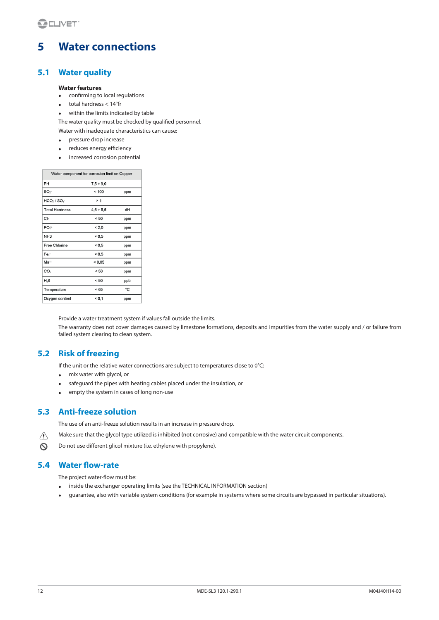# **5 Water connections**

### **5.1 Water quality**

#### **Water features**

- confirming to local regulations
- total hardness < 14°fr
- within the limits indicated by table

The water quality must be checked by qualified personnel.

Water with inadequate characteristics can cause:

- pressure drop increase
- reduces energy efficiency
- increased corrosion potential

| Water component for corrosion limit on Copper |                |     |
|-----------------------------------------------|----------------|-----|
| PH                                            | $7,5 + 9,0$    |     |
| $SO_i^-$                                      | < 100          | ppm |
| $HCOi$ / $SOi$                                | >1             |     |
| <b>Total Hardness</b>                         | $4.5 \div 8.5$ | dH  |
| CI-                                           | < 50           | ppm |
| PO <sub>1</sub> 3                             | < 2.0          | ppm |
| NH <sub>3</sub>                               | < 0.5          | ppm |
| <b>Free Chlorine</b>                          | ${}_{0.5}$     | ppm |
| Fe <sub>3</sub> <sup>+</sup>                  | ${}_{0.5}$     | ppm |
| Mn <sup>++</sup>                              | < 0,05         | ppm |
| CO <sub>2</sub>                               | < 50           | ppm |
| H,S                                           | < 50           | ppb |
| Temperature                                   | < 65           | °C  |
| Oxygen content                                | < 0.1          | ppm |

Provide a water treatment system if values fall outside the limits.

The warranty does not cover damages caused by limestone formations, deposits and impurities from the water supply and / or failure from failed system clearing to clean system.

# **5.2 Risk of freezing**

If the unit or the relative water connections are subject to temperatures close to 0°C:

- mix water with glycol, or
- safeguard the pipes with heating cables placed under the insulation, or
- empty the system in cases of long non-use

### **5.3 Anti-freeze solution**

The use of an anti-freeze solution results in an increase in pressure drop.

- Make sure that the glycol type utilized is inhibited (not corrosive) and compatible with the water circuit components.
- Do not use different glicol mixture (i.e. ethylene with propylene).  $\Omega$

### **5.4 Water flow-rate**

The project water-flow must be:

- inside the exchanger operating limits (see the TECHNICAL INFORMATION section)
- guarantee, also with variable system conditions (for example in systems where some circuits are bypassed in particular situations).

 $\bigwedge$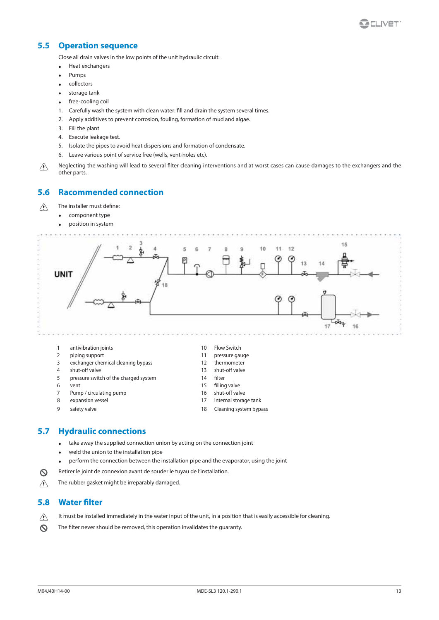## **5.5 Operation sequence**

Close all drain valves in the low points of the unit hydraulic circuit:

- Heat exchangers
- Pumps
- collectors
- storage tank
- free-cooling coil
- 1. Carefully wash the system with clean water: fill and drain the system several times.
- 2. Apply additives to prevent corrosion, fouling, formation of mud and algae.
- 3. Fill the plant
- 4. Execute leakage test.
- 5. Isolate the pipes to avoid heat dispersions and formation of condensate.
- 6. Leave various point of service free (wells, vent-holes etc).
- Neglecting the washing will lead to several filter cleaning interventions and at worst cases can cause damages to the exchangers and the  $\bigwedge$ other parts.

## **5.6 Racommended connection**

 $\bigwedge$ The installer must define:

- component type
- position in system



- 
- 4 shut-off valve 13
- 5 pressure switch of the charged system 14 filter
- 
- 6 vent<br>
7 Pump / circulating pump<br>
16 shut-off valve 7 Pump / circulating pump
- 8 expansion vessel 2008 and 2008 and 2008 and 2008 and 2008 and 2008 and 2008 and 2008 and 2008 and 2008 and 20
- 
- 
- 3 exchanger chemical cleaning bypass 12 thermometer<br>4 shut-off valve 13 shut-off valve
	-
	-
	-
	-
- 9 safety valve 18 Cleaning system bypass
- **5.7 Hydraulic connections**
	- take away the supplied connection union by acting on the connection joint
	- weld the union to the installation pipe
	- perform the connection between the installation pipe and the evaporator, using the joint
- Retirer le joint de connexion avant de souder le tuyau de l'installation.  $\infty$
- The rubber gasket might be irreparably damaged.  $\bigwedge$

### **5.8 Water filter**

- It must be installed immediately in the water input of the unit, in a position that is easily accessible for cleaning. ⚠
- $\Omega$ The filter never should be removed, this operation invalidates the guaranty.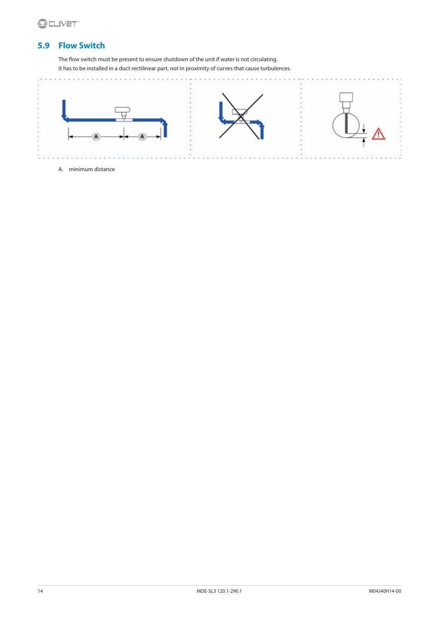## **5.9 Flow Switch**

The flow switch must be present to ensure shutdown of the unit if water is not circulating. It has to be installed in a duct rectilinear part, not in proximity of curves that cause turbulences.



A. minimum distance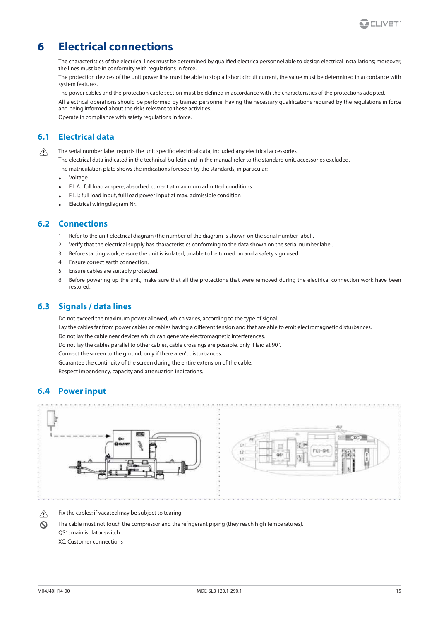

# **6 Electrical connections**

The characteristics of the electrical lines must be determined by qualified electrica personnel able to design electrical installations; moreover, the lines must be in conformity with regulations in force.

The protection devices of the unit power line must be able to stop all short circuit current, the value must be determined in accordance with system features.

The power cables and the protection cable section must be defined in accordance with the characteristics of the protections adopted. All electrical operations should be performed by trained personnel having the necessary qualifications required by the regulations in force and being informed about the risks relevant to these activities.

Operate in compliance with safety regulations in force.

## **6.1 Electrical data**

The serial number label reports the unit specific electrical data, included any electrical accessories.  $\bigwedge$ 

The electrical data indicated in the technical bulletin and in the manual refer to the standard unit, accessories excluded.

The matriculation plate shows the indications foreseen by the standards, in particular:

- Voltage
- F.L.A.: full load ampere, absorbed current at maximum admitted conditions
- F.L.I.: full load input, full load power input at max. admissible condition
- Electrical wiringdiagram Nr.

#### **6.2 Connections**

- 1. Refer to the unit electrical diagram (the number of the diagram is shown on the serial number label).
- 2. Verify that the electrical supply has characteristics conforming to the data shown on the serial number label.
- 3. Before starting work, ensure the unit is isolated, unable to be turned on and a safety sign used.
- 4. Ensure correct earth connection.
- 5. Ensure cables are suitably protected.
- 6. Before powering up the unit, make sure that all the protections that were removed during the electrical connection work have been restored.

#### **6.3 Signals / data lines**

Do not exceed the maximum power allowed, which varies, according to the type of signal. Lay the cables far from power cables or cables having a different tension and that are able to emit electromagnetic disturbances. Do not lay the cable near devices which can generate electromagnetic interferences. Do not lay the cables parallel to other cables, cable crossings are possible, only if laid at 90°. Connect the screen to the ground, only if there aren't disturbances. Guarantee the continuity of the screen during the entire extension of the cable. Respect impendency, capacity and attenuation indications.

### **6.4 Power input**



Fix the cables: if vacated may be subject to tearing.

The cable must not touch the compressor and the refrigerant piping (they reach high temparatures). QS1: main isolator switch XC: Customer connections

 $\bigwedge$  $\infty$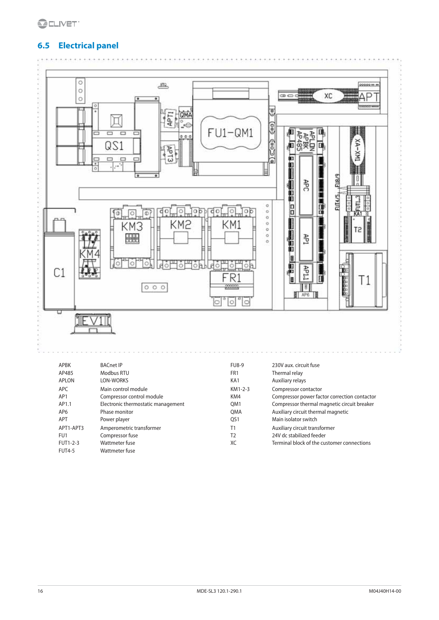# **6.5 Electrical panel**



FUT1-2-3 Wattmeter fuse **XC** Terminal block of the customer connections<br>FUT4-5 Wattmeter fuse

APT Power player **Proversion COST** COST Main isolator switch APT1-APT3 Amperometric transformer T1 Auxiliary circuit transformer CHT1 FU1 Compressor fuse Compension Compressor fuse Compension Compension Compension Compensation Compension Compension Compension Compension Compension Compension Compension Compension Compension Compension Compension Compensi

Wattmeter fuse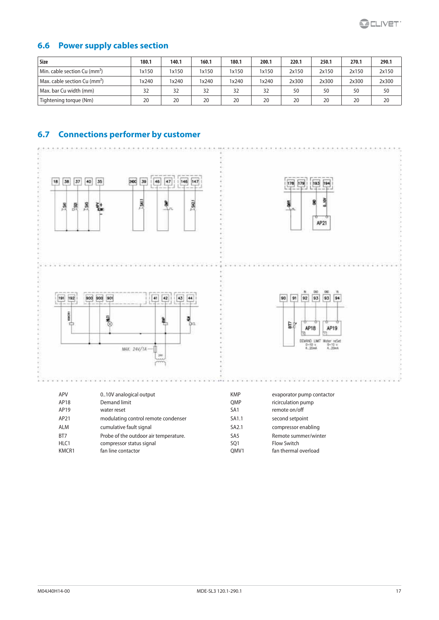# **6.6 Power supply cables section**

| <b>Size</b>                                     | 180.1 | 140.1 | 160.1 | 180.1 | 200.1 | 220.1 | 250.1 | 270.1 | 290.1 |
|-------------------------------------------------|-------|-------|-------|-------|-------|-------|-------|-------|-------|
| $\mid$ Min. cable section Cu (mm <sup>2</sup> ) | 1x150 | 1x150 | 1x150 | 1x150 | 1x150 | 2x150 | 2x150 | 2x150 | 2x150 |
| Max. cable section Cu (mm <sup>2</sup> )        | 1x240 | 1x240 | 1x240 | 1x240 | 1x240 | 2x300 | 2x300 | 2x300 | 2x300 |
| Max. bar Cu width (mm)                          | 32    | 32    | 32    | 32    | 32    | 50    | 50    | 50    | 50    |
| Tightening torque (Nm)                          | 20    | 20    | 20    | 20    | 20    | 20    | 20    | 20    | 20    |

## **6.7 Connections performer by customer**

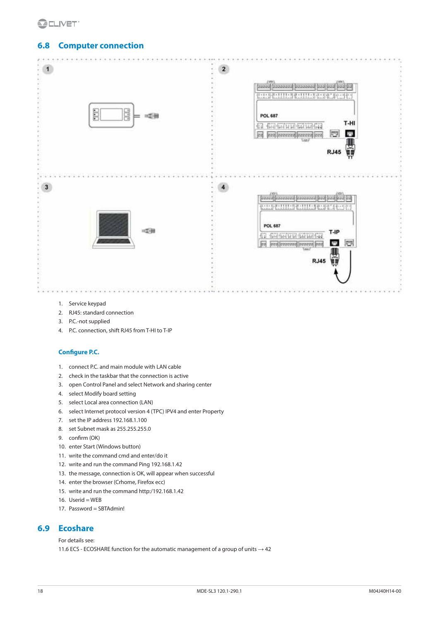## **6.8 Computer connection**



- 1. Service keypad
- 2. RJ45: standard connection
- 3. P.C.-not supplied
- 4. P.C. connection, shift RJ45 from T-HI to T-IP

#### **Configure P.C.**

- 1. connect P.C. and main module with LAN cable
- 2. check in the taskbar that the connection is active
- 3. open Control Panel and select Network and sharing center
- 4. select Modify board setting
- 5. select Local area connection (LAN)
- 6. select Internet protocol version 4 (TPC) IPV4 and enter Property
- 7. set the IP address 192.168.1.100
- 8. set Subnet mask as 255.255.255.0
- 9. confirm (OK)
- 10. enter Start (Windows button)
- 11. write the command cmd and enter/do it
- 12. write and run the command Ping 192.168.1.42
- 13. the message, connection is OK, will appear when successful
- 14. enter the browser (Crhome, Firefox ecc)
- 15. write and run the command http:/192.168.1.42
- 16. Userid = WEB
- 17. Password = SBTAdmin!

## **6.9 Ecoshare**

#### For details see:

11.6 ECS - ECOSHARE function for the automatic management of a group of units  $\rightarrow$  42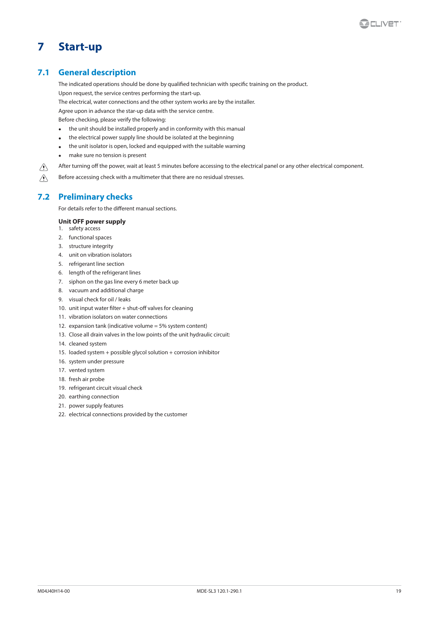

# **7 Start-up**

## **7.1 General description**

The indicated operations should be done by qualified technician with specific training on the product. Upon request, the service centres performing the start-up.

The electrical, water connections and the other system works are by the installer.

Agree upon in advance the star-up data with the service centre.

Before checking, please verify the following:

- the unit should be installed properly and in conformity with this manual
- the electrical power supply line should be isolated at the beginning
- the unit isolator is open, locked and equipped with the suitable warning
- make sure no tension is present
- After turning off the power, wait at least 5 minutes before accessing to the electrical panel or any other electrical component.  $\bigwedge$
- Before accessing check with a multimeter that there are no residual stresses.  $\bigwedge$

## **7.2 Preliminary checks**

For details refer to the different manual sections.

#### **Unit OFF power supply**

- 1. safety access
- 2. functional spaces
- 3. structure integrity
- 4. unit on vibration isolators
- 5. refrigerant line section
- 6. length of the refrigerant lines
- 7. siphon on the gas line every 6 meter back up
- 8. vacuum and additional charge
- 9. visual check for oil / leaks
- 10. unit input water filter + shut-off valves for cleaning
- 11. vibration isolators on water connections
- 12. expansion tank (indicative volume = 5% system content)
- 13. Close all drain valves in the low points of the unit hydraulic circuit:
- 14. cleaned system
- 15. loaded system + possible glycol solution + corrosion inhibitor
- 16. system under pressure
- 17. vented system
- 18. fresh air probe
- 19. refrigerant circuit visual check
- 20. earthing connection
- 21. power supply features
- 22. electrical connections provided by the customer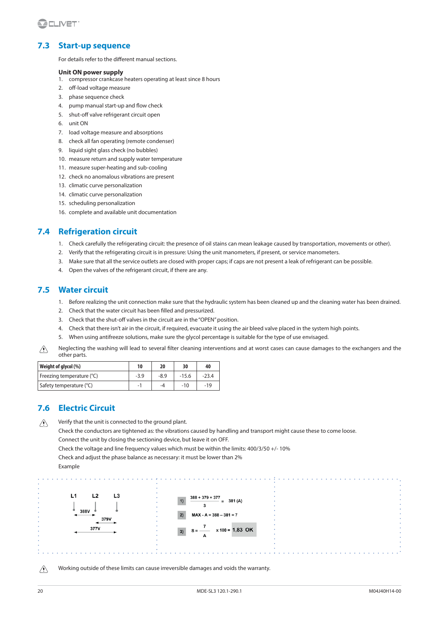### **7.3 Start-up sequence**

For details refer to the different manual sections.

#### **Unit ON power supply**

- 1. compressor crankcase heaters operating at least since 8 hours
- 2. off-load voltage measure
- 3. phase sequence check
- 4. pump manual start-up and flow check
- 5. shut-off valve refrigerant circuit open
- 6. unit ON
- 7. load voltage measure and absorptions
- 8. check all fan operating (remote condenser)
- 9. liquid sight glass check (no bubbles)
- 10. measure return and supply water temperature
- 11. measure super-heating and sub-cooling
- 12. check no anomalous vibrations are present
- 13. climatic curve personalization
- 14. climatic curve personalization
- 15. scheduling personalization
- 16. complete and available unit documentation

### **7.4 Refrigeration circuit**

- 1. Check carefully the refrigerating circuit: the presence of oil stains can mean leakage caused by transportation, movements or other).
- 2. Verify that the refrigerating circuit is in pressure: Using the unit manometers, if present, or service manometers.
- 3. Make sure that all the service outlets are closed with proper caps; if caps are not present a leak of refrigerant can be possible.
- 4. Open the valves of the refrigerant circuit, if there are any.

### **7.5 Water circuit**

- 1. Before realizing the unit connection make sure that the hydraulic system has been cleaned up and the cleaning water has been drained.
- 2. Check that the water circuit has been filled and pressurized.
- 3. Check that the shut-off valves in the circuit are in the "OPEN" position.
- 4. Check that there isn't air in the circuit, if required, evacuate it using the air bleed valve placed in the system high points.
- 5. When using antifreeze solutions, make sure the glycol percentage is suitable for the type of use envisaged.
- Neglecting the washing will lead to several filter cleaning interventions and at worst cases can cause damages to the exchangers and the  $\bigwedge$ other parts.

| Weight of glycol (%)      | 10     | 20     | 30      | 40      |
|---------------------------|--------|--------|---------|---------|
| Freezing temperature (°C) | $-3.9$ | $-8.9$ | $-15.6$ | $-23.4$ |
| Safety temperature (°C)   | $-1$   | -4     | $-10$   | $-19$   |

# **7.6 Electric Circuit**

Verify that the unit is connected to the ground plant.  $\bigwedge$ 

> Check the conductors are tightened as: the vibrations caused by handling and transport might cause these to come loose. Connect the unit by closing the sectioning device, but leave it on OFF.

Check the voltage and line frequency values which must be within the limits: 400/3/50 +/- 10%

Check and adjust the phase balance as necessary: it must be lower than 2%

Example



Working outside of these limits can cause irreversible damages and voids the warranty. $\bigwedge$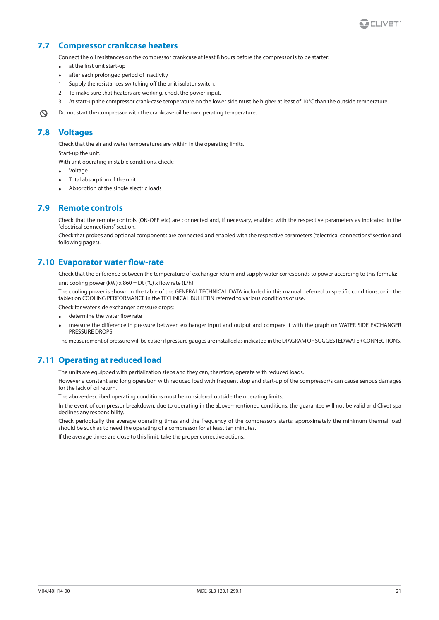

### **7.7 Compressor crankcase heaters**

Connect the oil resistances on the compressor crankcase at least 8 hours before the compressor is to be starter:

- at the first unit start-up
- after each prolonged period of inactivity
- 1. Supply the resistances switching off the unit isolator switch.
- 2. To make sure that heaters are working, check the power input.
- 3. At start-up the compressor crank-case temperature on the lower side must be higher at least of 10°C than the outside temperature.

Do not start the compressor with the crankcase oil below operating temperature.  $\Omega$ 

#### **7.8 Voltages**

Check that the air and water temperatures are within in the operating limits.

Start-up the unit.

With unit operating in stable conditions, check:

- Voltage
- Total absorption of the unit
- Absorption of the single electric loads

#### **7.9 Remote controls**

Check that the remote controls (ON-OFF etc) are connected and, if necessary, enabled with the respective parameters as indicated in the "electrical connections" section.

Check that probes and optional components are connected and enabled with the respective parameters ("electrical connections" section and following pages).

#### **7.10 Evaporator water flow-rate**

Check that the difference between the temperature of exchanger return and supply water corresponds to power according to this formula: unit cooling power (kW) x  $860 = Dt$  (°C) x flow rate (L/h)

The cooling power is shown in the table of the GENERAL TECHNICAL DATA included in this manual, referred to specific conditions, or in the tables on COOLING PERFORMANCE in the TECHNICAL BULLETIN referred to various conditions of use.

Check for water side exchanger pressure drops:

- determine the water flow rate
- measure the difference in pressure between exchanger input and output and compare it with the graph on WATER SIDE EXCHANGER PRESSURE DROPS

The measurement of pressure will be easier if pressure gauges are installed as indicated in the DIAGRAM OF SUGGESTED WATER CONNECTIONS.

#### **7.11 Operating at reduced load**

The units are equipped with partialization steps and they can, therefore, operate with reduced loads.

However a constant and long operation with reduced load with frequent stop and start-up of the compressor/s can cause serious damages for the lack of oil return.

The above-described operating conditions must be considered outside the operating limits.

In the event of compressor breakdown, due to operating in the above-mentioned conditions, the guarantee will not be valid and Clivet spa declines any responsibility.

Check periodically the average operating times and the frequency of the compressors starts: approximately the minimum thermal load should be such as to need the operating of a compressor for at least ten minutes.

If the average times are close to this limit, take the proper corrective actions.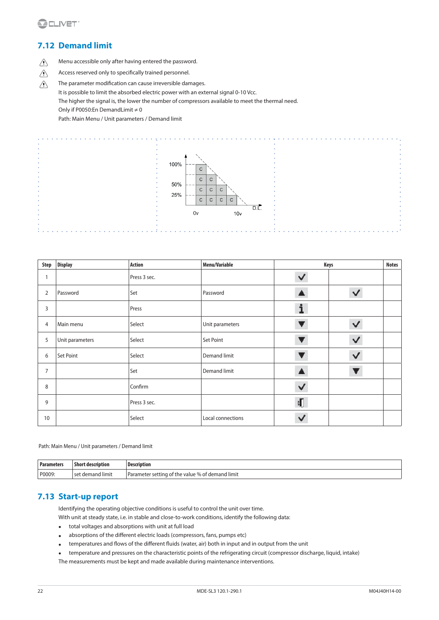## **7.12 Demand limit**

- Menu accessible only after having entered the password.  $\wedge$
- Access reserved only to specifically trained personnel.  $\triangle$
- The parameter modification can cause irreversible damages.  $\bigwedge$

It is possible to limit the absorbed electric power with an external signal 0-10 Vcc.

The higher the signal is, the lower the number of compressors available to meet the thermal need.

Only if P0050:En DemandLimit ≠ 0

Path: Main Menu / Unit parameters / Demand limit



| Step           | <b>Display</b>   | Action       | <b>Menu/Variable</b> | Keys         | <b>Notes</b> |
|----------------|------------------|--------------|----------------------|--------------|--------------|
| 1              |                  | Press 3 sec. |                      | $\checkmark$ |              |
| $\overline{2}$ | Password         | Set          | Password             |              |              |
| 3              |                  | Press        |                      | $\mathbf{i}$ |              |
| $\overline{4}$ | Main menu        | Select       | Unit parameters      | V            |              |
| 5              | Unit parameters  | Select       | Set Point            |              |              |
| 6              | <b>Set Point</b> | Select       | Demand limit         | V            |              |
| $\overline{7}$ |                  | Set          | Demand limit         |              |              |
| 8              |                  | Confirm      |                      | $\checkmark$ |              |
| 9              |                  | Press 3 sec. |                      | 叽            |              |
| 10             |                  | Select       | Local connections    | $\checkmark$ |              |

Path: Main Menu / Unit parameters / Demand limit

| Parameters | <b>Short description</b> | <b>Description</b>                               |
|------------|--------------------------|--------------------------------------------------|
| P0009:     | demand limit             | Parameter setting of the value % of demand limit |

### **7.13 Start-up report**

Identifying the operating objective conditions is useful to control the unit over time.

With unit at steady state, i.e. in stable and close-to-work conditions, identify the following data:

- total voltages and absorptions with unit at full load
- absorptions of the different electric loads (compressors, fans, pumps etc)
- temperatures and flows of the different fluids (water, air) both in input and in output from the unit
- temperature and pressures on the characteristic points of the refrigerating circuit (compressor discharge, liquid, intake)

The measurements must be kept and made available during maintenance interventions.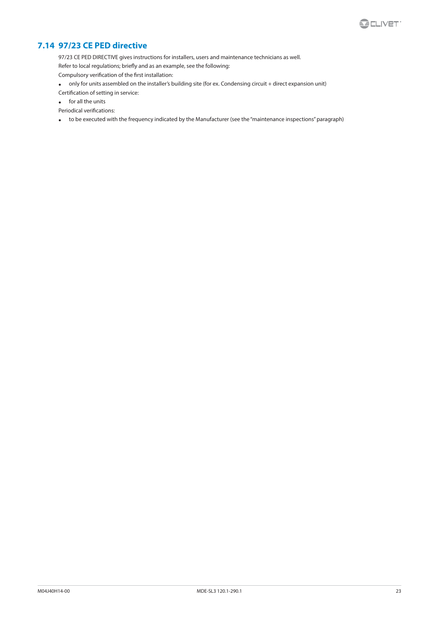

## **7.14 97/23 CE PED directive**

97/23 CE PED DIRECTIVE gives instructions for installers, users and maintenance technicians as well.

Refer to local regulations; briefly and as an example, see the following:

Compulsory verification of the first installation:

• only for units assembled on the installer's building site (for ex. Condensing circuit + direct expansion unit)

Certification of setting in service:

• for all the units

Periodical verifications:

• to be executed with the frequency indicated by the Manufacturer (see the "maintenance inspections" paragraph)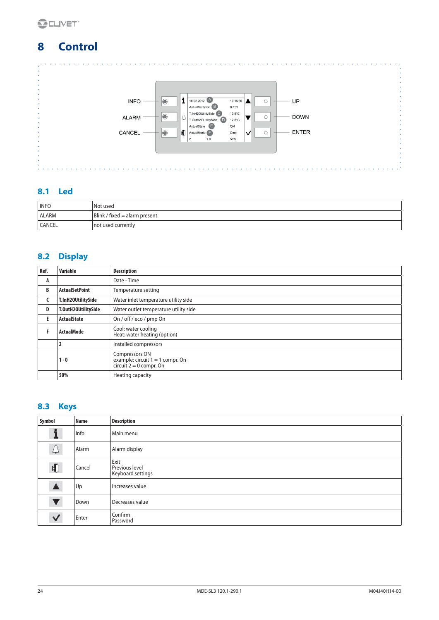# **8 Control**



# **8.1 Led**

| <b>INFO</b>   | Not used                      |
|---------------|-------------------------------|
| ALARM         | Blink / fixed = alarm present |
| <b>CANCEL</b> | not used currently            |

# **8.2 Display**

| Ref. | Variable              | <b>Description</b>                                                                |
|------|-----------------------|-----------------------------------------------------------------------------------|
| A    |                       | Date - Time                                                                       |
| B    | <b>ActualSetPoint</b> | Temperature setting                                                               |
| C    | T.InH20UtilitySide    | Water inlet temperature utility side                                              |
| D    | T.OutH2OUtilitySide   | Water outlet temperature utility side                                             |
|      | <b>ActualState</b>    | On / off / eco / pmp On                                                           |
|      | <b>ActualMode</b>     | Cool: water cooling<br>Heat: water heating (option)                               |
|      | 2                     | Installed compressors                                                             |
|      | $1 - 0$               | Compressors ON<br>example: circuit $1 = 1$ compr. On<br>circuit $2 = 0$ compr. On |
|      | 50%                   | Heating capacity                                                                  |

## **8.3 Keys**

| Symbol   | Name   | <b>Description</b>                                 |
|----------|--------|----------------------------------------------------|
|          | Info   | Main menu                                          |
| $\Delta$ | Alarm  | Alarm display                                      |
| 町        | Cancel | Exit<br>Previous level<br><b>Keyboard settings</b> |
|          | Up     | Increases value                                    |
|          | Down   | Decreases value                                    |
| $\cdot$  | Enter  | Confirm<br>Password                                |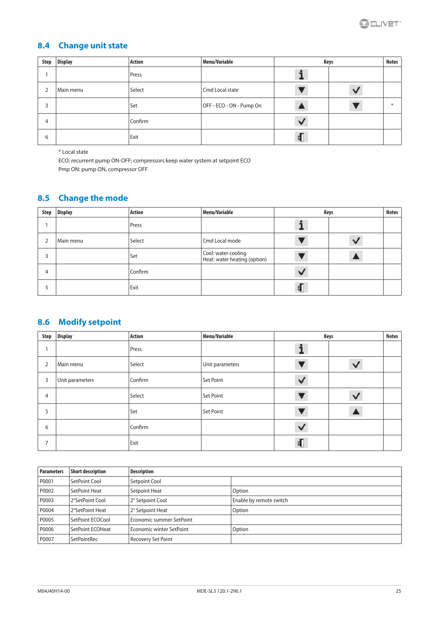# **8.4 Change unit state**

| Step | <b>Display</b> | <b>Action</b> | <b>Menu/Variable</b>     |              | Keys | <b>Notes</b> |
|------|----------------|---------------|--------------------------|--------------|------|--------------|
|      |                | Press         |                          |              |      |              |
|      | Main menu      | Select        | Cmd Local state          |              |      |              |
|      |                | Set           | OFF - ECO - ON - Pump On |              |      |              |
| 4    |                | Confirm       |                          | $\checkmark$ |      |              |
| 6    |                | Exit          |                          | N            |      |              |

\* Local state

ECO: recurrent pump ON-OFF; compressors keep water system at setpoint ECO

Pmp ON: pump ON, compressor OFF

# **8.5 Change the mode**

| Step | <b>Display</b> | <b>Action</b> | <b>Menu/Variable</b>                                |   | Keys | <b>Notes</b> |
|------|----------------|---------------|-----------------------------------------------------|---|------|--------------|
|      |                | Press         |                                                     |   |      |              |
|      | Main menu      | Select        | Cmd Local mode                                      |   |      |              |
|      |                | Set           | Cool: water cooling<br>Heat: water heating (option) |   |      |              |
| 4    |                | Confirm       |                                                     |   |      |              |
|      |                | Exit          |                                                     | N |      |              |

# **8.6 Modify setpoint**

| Step | <b>Display</b>  | Action  | <b>Menu/Variable</b> |              | Keys                    | <b>Notes</b> |
|------|-----------------|---------|----------------------|--------------|-------------------------|--------------|
|      |                 | Press   |                      |              |                         |              |
| 2    | Main menu       | Select  | Unit parameters      |              |                         |              |
| 3    | Unit parameters | Confirm | <b>Set Point</b>     | $\checkmark$ |                         |              |
| 4    |                 | Select  | Set Point            | V            | $\overline{\mathbf{v}}$ |              |
| 5    |                 | Set     | <b>Set Point</b>     |              |                         |              |
| 6    |                 | Confirm |                      | $\checkmark$ |                         |              |
| ⇁    |                 | Exit    |                      | N            |                         |              |

| <b>Parameters</b> | <b>Short description</b> | <b>Description</b>              |                         |
|-------------------|--------------------------|---------------------------------|-------------------------|
| P0001             | SetPoint Cool            | Setpoint Cool                   |                         |
| P0002             | SetPoint Heat            | Setpoint Heat                   | Option                  |
| P0003             | 2°SetPoint Cool          | 2° Setpoint Cool                | Enable by remote switch |
| P0004             | 2°SetPoint Heat          | 2° Setpoint Heat                | Option                  |
| P0005             | SetPoint ECOCool         | Economic summer SetPoint        |                         |
| P0006             | SetPoint ECOHeat         | <b>Economic winter SetPoint</b> | Option                  |
| P0007             | SetPointRec              | Recovery Set Point              |                         |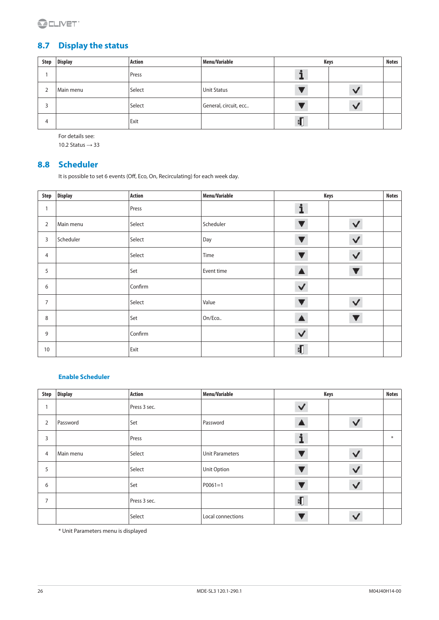# **8.7 Display the status**

| Step | <b>Display</b> | <b>Action</b> | <b>Menu/Variable</b>  | <b>Keys</b> |  | <b>Notes</b> |
|------|----------------|---------------|-----------------------|-------------|--|--------------|
|      |                | Press         |                       |             |  |              |
|      | Main menu      | Select        | <b>Unit Status</b>    |             |  |              |
|      |                | Select        | General, circuit, ecc |             |  |              |
| 4    |                | Exit          |                       | $\sqrt{2}$  |  |              |

For details see:

10.2 Status  $\rightarrow$  33

### **8.8 Scheduler**

It is possible to set 6 events (Off, Eco, On, Recirculating) for each week day.

| Step           | <b>Display</b> | Action  | Menu/Variable | Keys         |              | <b>Notes</b> |
|----------------|----------------|---------|---------------|--------------|--------------|--------------|
| $\mathbf{1}$   |                | Press   |               | $\mathbf{i}$ |              |              |
| 2              | Main menu      | Select  | Scheduler     | V            | $\checkmark$ |              |
| 3              | Scheduler      | Select  | Day           |              | $\checkmark$ |              |
| $\overline{4}$ |                | Select  | Time          | V            | $\checkmark$ |              |
| 5              |                | Set     | Event time    |              |              |              |
| 6              |                | Confirm |               | $\checkmark$ |              |              |
| $\overline{7}$ |                | Select  | Value         |              | $\checkmark$ |              |
| 8              |                | Set     | On/Eco        |              |              |              |
| 9              |                | Confirm |               | $\checkmark$ |              |              |
| 10             |                | Exit    |               | 町            |              |              |

### **Enable Scheduler**

| Step           | <b>Display</b> | <b>Action</b> | <b>Menu/Variable</b>   | Keys         | <b>Notes</b> |
|----------------|----------------|---------------|------------------------|--------------|--------------|
|                |                | Press 3 sec.  |                        | $\checkmark$ |              |
| 2              | Password       | Set           | Password               |              |              |
| 3              |                | Press         |                        | 1            | $\ast$       |
| $\overline{4}$ | Main menu      | Select        | <b>Unit Parameters</b> |              |              |
| 5              |                | Select        | Unit Option            |              |              |
| 6              |                | Set           | $P0061 = 1$            |              |              |
| $\overline{7}$ |                | Press 3 sec.  |                        | $\sqrt{2}$   |              |
|                |                | Select        | Local connections      |              |              |

\* Unit Parameters menu is displayed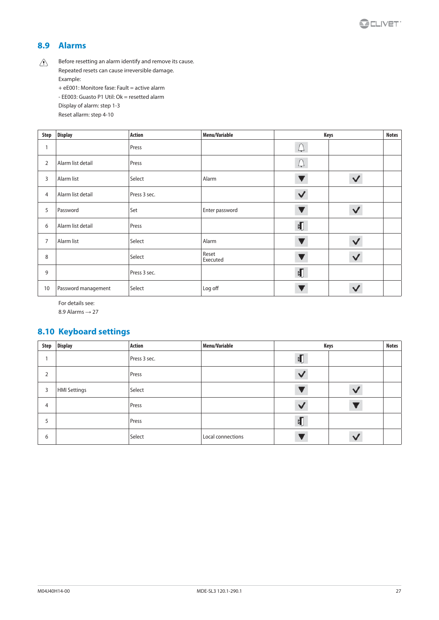## **8.9 Alarms**

 $\triangle$ 

Before resetting an alarm identify and remove its cause. Repeated resets can cause irreversible damage. Example:

+ eE001: Monitore fase: Fault = active alarm

- EE003: Guasto P1 Util: Ok = resetted alarm

Display of alarm: step 1-3

Reset allarm: step 4-10

| <b>Step</b>    | <b>Display</b>      | <b>Action</b> | Menu/Variable     |              | Keys | <b>Notes</b> |
|----------------|---------------------|---------------|-------------------|--------------|------|--------------|
|                |                     | Press         |                   |              |      |              |
| 2              | Alarm list detail   | Press         |                   |              |      |              |
| 3              | Alarm list          | Select        | Alarm             |              |      |              |
| 4              | Alarm list detail   | Press 3 sec.  |                   | $\checkmark$ |      |              |
| 5              | Password            | Set           | Enter password    |              |      |              |
| 6              | Alarm list detail   | Press         |                   | 町            |      |              |
| $\overline{7}$ | Alarm list          | Select        | Alarm             | ▼            |      |              |
| 8              |                     | Select        | Reset<br>Executed |              |      |              |
| 9              |                     | Press 3 sec.  |                   | 町            |      |              |
| 10             | Password management | Select        | Log off           |              |      |              |

For details see:

8.9 Alarms  $\rightarrow$  27

# **8.10 Keyboard settings**

| Step | <b>Display</b> | Action       | <b>Menu/Variable</b> |              | Keys | <b>Notes</b> |
|------|----------------|--------------|----------------------|--------------|------|--------------|
|      |                | Press 3 sec. |                      | N            |      |              |
| 2    |                | Press        |                      | $\checkmark$ |      |              |
| 3    | HMI Settings   | Select       |                      |              |      |              |
| 4    |                | Press        |                      | $\checkmark$ |      |              |
| ͻ    |                | Press        |                      | 叽            |      |              |
| 6    |                | Select       | Local connections    |              |      |              |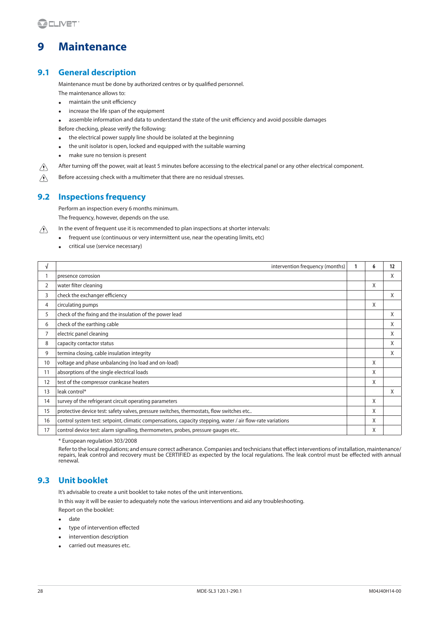# **9 Maintenance**

### **9.1 General description**

Maintenance must be done by authorized centres or by qualified personnel. The maintenance allows to:

- maintain the unit efficiency
- increase the life span of the equipment
- assemble information and data to understand the state of the unit efficiency and avoid possible damages

Before checking, please verify the following:

- the electrical power supply line should be isolated at the beginning
- the unit isolator is open, locked and equipped with the suitable warning
- make sure no tension is present
- After turning off the power, wait at least 5 minutes before accessing to the electrical panel or any other electrical component.  $\bigwedge$
- Before accessing check with a multimeter that there are no residual stresses.  $\bigwedge$

### **9.2 Inspections frequency**

 $\bigwedge$ 

Perform an inspection every 6 months minimum. The frequency, however, depends on the use.

- In the event of frequent use it is recommended to plan inspections at shorter intervals:
- frequent use (continuous or very intermittent use, near the operating limits, etc)
- critical use (service necessary)

| N  | intervention frequency (months)                                                                            | 1 | 6 | 12 |
|----|------------------------------------------------------------------------------------------------------------|---|---|----|
|    | presence corrosion                                                                                         |   |   | X  |
| 2  | water filter cleaning                                                                                      |   | Χ |    |
| 3  | check the exchanger efficiency                                                                             |   |   | X  |
| 4  | circulating pumps                                                                                          |   | X |    |
| 5  | check of the fixing and the insulation of the power lead                                                   |   |   | X  |
| 6  | check of the earthing cable                                                                                |   |   | X  |
| 7  | electric panel cleaning                                                                                    |   |   | X  |
| 8  | capacity contactor status                                                                                  |   |   | X  |
| 9  | termina closing, cable insulation integrity                                                                |   |   | X  |
| 10 | voltage and phase unbalancing (no load and on-load)                                                        |   | Χ |    |
| 11 | absorptions of the single electrical loads                                                                 |   | Χ |    |
| 12 | test of the compressor crankcase heaters                                                                   |   | X |    |
| 13 | leak control*                                                                                              |   |   | X  |
| 14 | survey of the refrigerant circuit operating parameters                                                     |   | Χ |    |
| 15 | protective device test: safety valves, pressure switches, thermostats, flow switches etc                   |   | Χ |    |
| 16 | control system test: setpoint, climatic compensations, capacity stepping, water / air flow-rate variations |   | Χ |    |
| 17 | control device test: alarm signalling, thermometers, probes, pressure gauges etc                           |   | Χ |    |

\* European regulation 303/2008

Refer to the local regulations; and ensure correct adherance. Companies and technicians that effect interventions of installation, maintenance/ repairs, leak control and recovery must be CERTIFIED as expected by the local regulations. The leak control must be effected with annual renewal.

### **9.3 Unit booklet**

It's advisable to create a unit booklet to take notes of the unit interventions.

In this way it will be easier to adequately note the various interventions and aid any troubleshooting. Report on the booklet:

- date
- type of intervention effected
- intervention description
- carried out measures etc.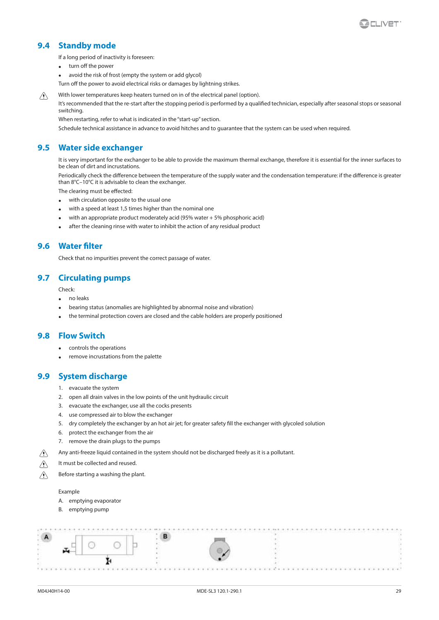

#### **9.4 Standby mode**

 $\bigwedge$ 

If a long period of inactivity is foreseen:

- turn off the power
- avoid the risk of frost (empty the system or add glycol)

Turn off the power to avoid electrical risks or damages by lightning strikes.

With lower temperatures keep heaters turned on in of the electrical panel (option).

It's recommended that the re-start after the stopping period is performed by a qualified technician, especially after seasonal stops or seasonal switching.

When restarting, refer to what is indicated in the "start-up" section.

Schedule technical assistance in advance to avoid hitches and to guarantee that the system can be used when required.

### **9.5 Water side exchanger**

It is very important for the exchanger to be able to provide the maximum thermal exchange, therefore it is essential for the inner surfaces to be clean of dirt and incrustations.

Periodically check the difference between the temperature of the supply water and the condensation temperature: if the difference is greater than 8°C–10°C it is advisable to clean the exchanger.

The clearing must be effected:

- with circulation opposite to the usual one
- with a speed at least 1,5 times higher than the nominal one
- with an appropriate product moderately acid (95% water + 5% phosphoric acid)
- after the cleaning rinse with water to inhibit the action of any residual product

#### **9.6 Water filter**

Check that no impurities prevent the correct passage of water.

### **9.7 Circulating pumps**

Check:

- no leaks
- bearing status (anomalies are highlighted by abnormal noise and vibration)
- the terminal protection covers are closed and the cable holders are properly positioned

#### **9.8 Flow Switch**

- controls the operations
- remove incrustations from the palette

#### **9.9 System discharge**

- 1. evacuate the system
- 2. open all drain valves in the low points of the unit hydraulic circuit
- 3. evacuate the exchanger, use all the cocks presents
- 4. use compressed air to blow the exchanger
- 5. dry completely the exchanger by an hot air jet; for greater safety fill the exchanger with glycoled solution
- 6. protect the exchanger from the air
- 7. remove the drain plugs to the pumps
- Any anti-freeze liquid contained in the system should not be discharged freely as it is a pollutant.  $\bigwedge$

It must be collected and reused.  $\hat{\mathbb{A}}$ 

 $\bigwedge$ Before starting a washing the plant.

#### Example

- A. emptying evaporator
- B. emptying pump

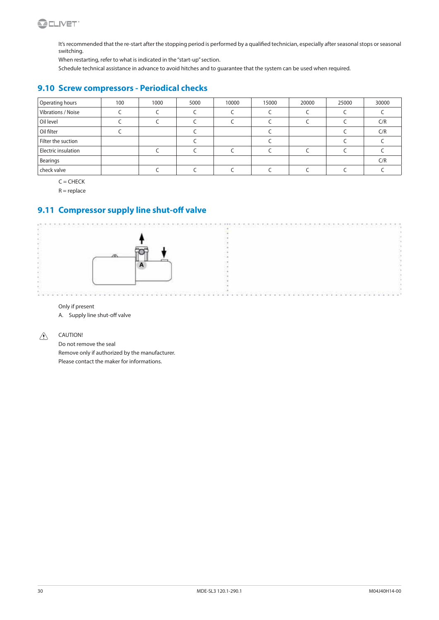

It's recommended that the re-start after the stopping period is performed by a qualified technician, especially after seasonal stops or seasonal switching.

When restarting, refer to what is indicated in the "start-up" section.

Schedule technical assistance in advance to avoid hitches and to guarantee that the system can be used when required.

#### **9.10 Screw compressors - Periodical checks**

| Operating hours     | 100 | 1000 | 5000 | 10000 | 15000 | 20000 | 25000 | 30000 |
|---------------------|-----|------|------|-------|-------|-------|-------|-------|
| Vibrations / Noise  |     |      |      |       |       |       |       |       |
| Oil level           |     |      |      |       |       |       |       | C/R   |
| Oil filter          |     |      |      |       |       |       |       | C/R   |
| Filter the suction  |     |      |      |       |       |       |       |       |
| Electric insulation |     |      |      |       |       |       |       |       |
| Bearings            |     |      |      |       |       |       |       | C/R   |
| check valve         |     |      |      |       |       |       |       |       |

 $C =$ CHECK

 $R =$  replace

## **9.11 Compressor supply line shut-off valve**



#### Only if present

A. Supply line shut-off valve



## CAUTION!

Do not remove the seal Remove only if authorized by the manufacturer. Please contact the maker for informations.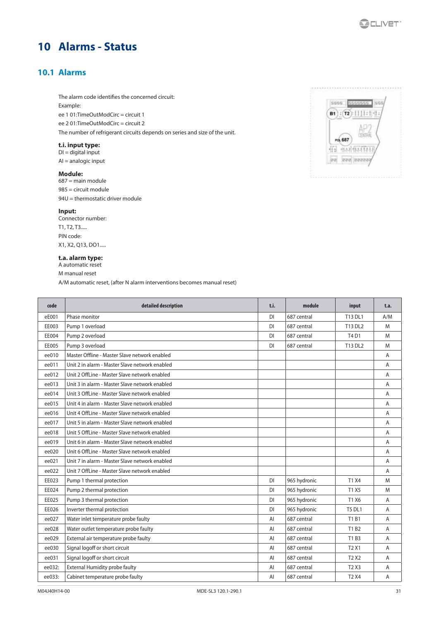

# **10 Alarms - Status**

## **10.1 Alarms**

The alarm code identifies the concerned circuit: Example: ee 1 01:TimeOutModCirc = circuit 1 ee 2 01: TimeOutModCirc = circuit 2

#### The number of refrigerant circuits depends on series and size of the unit.

#### **t.i. input type:**

DI = digital input AI = analogic input

#### **Module:**

 $687 = \text{main module}$ 985 = circuit module 94U = thermostatic driver module

#### **Input:**

Connector number: T1, T2, T3..... PIN code: X1, X2, Q13, DO1.....

#### **t.a. alarm type:**

A automatic reset M manual reset

A/M automatic reset, (after N alarm interventions becomes manual reset)

| code         | detailed description                           | t.i.      | module       | input                         | t.a. |
|--------------|------------------------------------------------|-----------|--------------|-------------------------------|------|
| eE001        | Phase monitor                                  | DI        | 687 central  | T13 DL1                       | A/M  |
| EE003        | Pump 1 overload                                | <b>DI</b> | 687 central  | <b>T13 DL2</b>                | M    |
| <b>EE004</b> | Pump 2 overload                                | DI        | 687 central  | T4 D1                         | M    |
| <b>EE005</b> | Pump 3 overload                                | DI        | 687 central  | T13 DL2                       | M    |
| ee010        | Master Offline - Master Slave network enabled  |           |              |                               | A    |
| ee011        | Unit 2 in alarm - Master Slave network enabled |           |              |                               | A    |
| ee012        | Unit 2 OffLine - Master Slave network enabled  |           |              |                               | A    |
| ee013        | Unit 3 in alarm - Master Slave network enabled |           |              |                               | Α    |
| ee014        | Unit 3 OffLine - Master Slave network enabled  |           |              |                               | A    |
| ee015        | Unit 4 in alarm - Master Slave network enabled |           |              |                               | A    |
| ee016        | Unit 4 OffLine - Master Slave network enabled  |           |              |                               | A    |
| ee017        | Unit 5 in alarm - Master Slave network enabled |           |              |                               | A    |
| ee018        | Unit 5 OffLine - Master Slave network enabled  |           |              |                               | A    |
| ee019        | Unit 6 in alarm - Master Slave network enabled |           |              |                               | A    |
| ee020        | Unit 6 OffLine - Master Slave network enabled  |           |              |                               | A    |
| ee021        | Unit 7 in alarm - Master Slave network enabled |           |              |                               | A    |
| ee022        | Unit 7 OffLine - Master Slave network enabled  |           |              |                               | A    |
| EE023        | Pump 1 thermal protection                      | <b>DI</b> | 965 hydronic | T1 X4                         | M    |
| EE024        | Pump 2 thermal protection                      | <b>DI</b> | 965 hydronic | T1 X5                         | M    |
| EE025        | Pump 3 thermal protection                      | DI        | 965 hydronic | T1 X6                         | A    |
| EE026        | Inverter thermal protection                    | DI        | 965 hydronic | <b>T5 DL1</b>                 | Α    |
| ee027        | Water inlet temperature probe faulty           | AI        | 687 central  | T1 B1                         | A    |
| ee028        | Water outlet temperature probe faulty          |           | 687 central  | T1 B <sub>2</sub>             | A    |
| ee029        | External air temperature probe faulty          |           | 687 central  | T1 B3                         | A    |
| ee030        | Signal logoff or short circuit                 |           | 687 central  | <b>T2 X1</b>                  | A    |
| ee031        | Signal logoff or short circuit                 | AI        | 687 central  | <b>T2 X2</b>                  | A    |
| ee032:       | External Humidity probe faulty                 | AI        | 687 central  | T <sub>2</sub> X <sub>3</sub> | A    |
| ee033:       | Cabinet temperature probe faulty               | AI        | 687 central  | <b>T2 X4</b>                  | A    |

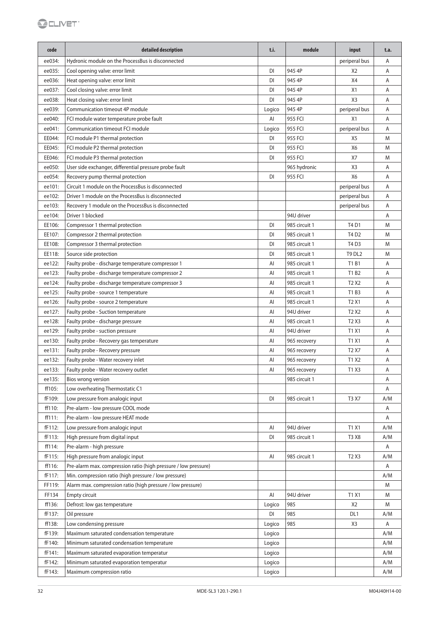| code   | detailed description                                            |        | module        | input                         | t.a. |
|--------|-----------------------------------------------------------------|--------|---------------|-------------------------------|------|
| ee034: | Hydronic module on the ProcessBus is disconnected               |        |               | periperal bus                 | Α    |
| ee035: | Cool opening valve: error limit                                 | DI     | 945 4P        | X2                            | Α    |
| ee036: | Heat opening valve: error limit                                 | DI     | 945 4P        | X4                            | A    |
| ee037: | Cool closing valve: error limit                                 | DI     | 945 4P        | X1                            | Α    |
| ee038: | Heat closing valve: error limit                                 | DI     | 945 4P        | X <sub>3</sub>                | Α    |
| ee039: | Communication timeout 4P module                                 | Logico | 945 4P        | periperal bus                 | Α    |
| ee040: | FCI module water temperature probe fault                        | AI     | 955 FCI       | X1                            | A    |
| ee041: | Communication timeout FCI module                                | Logico | 955 FCI       | periperal bus                 | Α    |
| EE044: | FCI module P1 thermal protection                                | DI     | 955 FCI       | X5                            | M    |
| EE045: | FCI module P2 thermal protection                                | DI     | 955 FCI       | X6                            | M    |
| EE046: | FCI module P3 thermal protection                                |        | 955 FCI       | X7                            | M    |
| ee050: | User side exchanger, differential pressure probe fault          |        | 965 hydronic  | X3                            | Α    |
| ee054: | Recovery pump thermal protection                                | DI     | 955 FCI       | X6                            | Α    |
| ee101: | Circuit 1 module on the ProcessBus is disconnected              |        |               | periperal bus                 | A    |
| ee102: | Driver 1 module on the ProcessBus is disconnected               |        |               | periperal bus                 | A    |
| ee103: | Recovery 1 module on the ProcessBus is disconnected             |        |               | periperal bus                 | Α    |
| ee104: | Driver 1 blocked                                                |        | 94U driver    |                               | Α    |
| EE106: | Compressor 1 thermal protection                                 | DI     | 985 circuit 1 | <b>T4 D1</b>                  | M    |
| EE107: | Compressor 2 thermal protection                                 | DI     | 985 circuit 1 | T4 D2                         | M    |
| EE108: | Compressor 3 thermal protection                                 | DI     | 985 circuit 1 | T4 D3                         | M    |
| EE118: | Source side protection                                          | DI     | 985 circuit 1 | T9 DL2                        | M    |
| ee122: | Faulty probe - discharge temperature compressor 1               | AI     | 985 circuit 1 | T1 B1                         | Α    |
| ee123: | Faulty probe - discharge temperature compressor 2               | AI     | 985 circuit 1 | T1 B2                         | Α    |
| ee124: | Faulty probe - discharge temperature compressor 3               | AI     | 985 circuit 1 | <b>T2 X2</b>                  | Α    |
| ee125: | Faulty probe - source 1 temperature                             | AI     | 985 circuit 1 | T1 B3                         | A    |
| ee126: | Faulty probe - source 2 temperature                             |        | 985 circuit 1 | T <sub>2</sub> X <sub>1</sub> | A    |
| ee127: | Faulty probe - Suction temperature                              |        | 94U driver    | T <sub>2</sub> X <sub>2</sub> | Α    |
| ee128: | Faulty probe - discharge pressure                               | AI     | 985 circuit 1 | T <sub>2</sub> X <sub>3</sub> | Α    |
| ee129: | Faulty probe - suction pressure                                 | AI     | 94U driver    | T1 X1                         | Α    |
| ee130: | Faulty probe - Recovery gas temperature                         | AI     | 965 recovery  | T1 X1                         | Α    |
| ee131: | Faulty probe - Recovery pressure                                | Al     | 965 recovery  | T <sub>2</sub> X <sub>7</sub> | Α    |
| ee132: | Faulty probe - Water recovery inlet                             | Al     | 965 recovery  | T1 X2                         | Α    |
| ee133: | Faulty probe - Water recovery outlet                            | Al     | 965 recovery  | T1 X3                         | Α    |
| ee135: | Bios wrong version                                              |        | 985 circuit 1 |                               | Α    |
| ff105: | Low overheating Thermostatic C1                                 |        |               |                               | Α    |
| fF109: | Low pressure from analogic input                                |        | 985 circuit 1 | T3 X7                         | A/M  |
| ff110: | Pre-alarm - low pressure COOL mode                              |        |               |                               | Α    |
| ff111: | Pre-alarm - low pressure HEAT mode                              |        |               |                               | A    |
| fF112: | Low pressure from analogic input                                | Al     | 94U driver    | T1 X1                         | A/M  |
| fF113: | High pressure from digital input                                |        | 985 circuit 1 | T3 X8                         | A/M  |
| ff114: | Pre-alarm - high pressure                                       |        |               |                               | Α    |
| fF115: | High pressure from analogic input                               |        | 985 circuit 1 | T <sub>2</sub> X <sub>3</sub> | A/M  |
| ff116: | Pre-alarm max. compression ratio (high pressure / low pressure) |        |               |                               | Α    |
| fF117: | Min. compression ratio (high pressure / low pressure)           |        |               |                               | A/M  |
| FF119: | Alarm max. compression ratio (high pressure / low pressure)     |        |               |                               | Μ    |
| FF134  | <b>Empty circuit</b>                                            |        | 94U driver    | T1 X1                         | M    |
| ff136: | Defrost: low gas temperature                                    |        | 985           | X <sub>2</sub>                | M    |
| fF137: | Oil pressure                                                    |        | 985           | DL <sub>1</sub>               | A/M  |
| ff138: | Low condensing pressure                                         |        | 985           | X3                            | A    |
| fF139: | Maximum saturated condensation temperature                      | Logico |               |                               | A/M  |
| fF140: | Minimum saturated condensation temperature                      | Logico |               |                               | A/M  |
| fF141: | Maximum saturated evaporation temperatur                        | Logico |               |                               | A/M  |
| fF142: | Minimum saturated evaporation temperatur                        | Logico |               |                               | A/M  |
| fF143: | Maximum compression ratio                                       |        |               |                               | A/M  |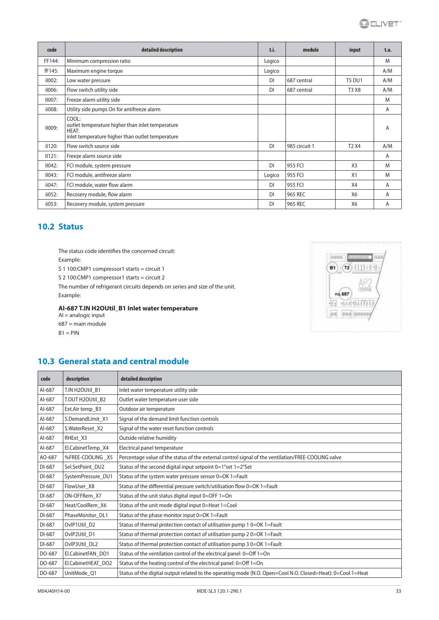| code   | detailed description                                                                                                          |           | module         | input         | t.a. |
|--------|-------------------------------------------------------------------------------------------------------------------------------|-----------|----------------|---------------|------|
| FF144: | Minimum compression ratio                                                                                                     | Logico    |                |               | M    |
| fF145: | Maximum engine torque                                                                                                         | Logico    |                |               | A/M  |
| i1002: | Low water pressure                                                                                                            | <b>DI</b> | 687 central    | <b>T5 DU1</b> | A/M  |
| il006: | Flow switch utility side                                                                                                      | <b>DI</b> | 687 central    | <b>T3 X8</b>  | A/M  |
| IIO07: | Freeze alarm utility side                                                                                                     |           |                |               | M    |
| ii008: | Utility side pumps On for antifreeze alarm                                                                                    |           |                |               | A    |
| IIO09: | COOL:<br>outlet temperature higher than inlet temperature<br><b>HEAT:</b><br>inlet temperature higher than outlet temperature |           |                |               | A    |
| il120: | Flow switch source side                                                                                                       |           | 985 circuit 1  | <b>T2 X4</b>  | A/M  |
| 1121:  | Freeze alarm source side                                                                                                      |           |                |               | A    |
| II042: | FCI module, system pressure                                                                                                   | <b>DI</b> | 955 FCI        | X3            | M    |
| II043: | FCI module, antifreeze alarm                                                                                                  |           | 955 FCI        | X1            | M    |
| ii047: | FCI module, water flow alarm                                                                                                  |           | 955 FCI        | X4            | A    |
| ii052: | Recosery module, flow alarm                                                                                                   |           | <b>965 REC</b> | X6            | A    |
| ii053: | <b>965 REC</b><br>Recovery module, system pressure<br>DI<br>X6                                                                |           | Α              |               |      |

## **10.2 Status**

The status code identifies the concerned circuit: Example: S 1 100: CMP1 compressor 1 starts = circuit 1

S 2 100: CMP1 compressor1 starts = circuit 2

The number of refrigerant circuits depends on series and size of the unit. Example:

#### **AI-687 T.IN H2OUtil\_B1 Inlet water temperature**

AI = analogic input 687 = main module  $B1 = PIN$ 

# 5666  $B1$  :  $(T2)$ : |||||: ||-|| AP<sub>2</sub> **Gentle** POL 687 伯 经原质

# **10.3 General stata and central module**

| code   | description        | detailed description                                                                                        |
|--------|--------------------|-------------------------------------------------------------------------------------------------------------|
| AI-687 | T.IN H2OUtil_B1    | Inlet water temperature utility side                                                                        |
| AI-687 | T.OUT H2OUtil B2   | Outlet water temperature user side                                                                          |
| AI-687 | Ext.Air temp_B3    | Outdoor air temperature                                                                                     |
| AI-687 | S.DemandLimit_X1   | Signal of the demand limit function controls                                                                |
| AI-687 | S.WaterReset_X2    | Signal of the water reset function controls                                                                 |
| AI-687 | RHExt_X3           | Outside relative humidity                                                                                   |
| Al-687 | El.CabinetTemp_X4  | Electrical panel temperature                                                                                |
| AO-687 | %FREE-COOLING_X5   | Percentage value of the status of the external control signal of the ventilation/FREE-COOLING valve         |
| DI-687 | Sel.SetPoint_DU2   | Status of the second digital input setpoint 0=1°set 1=2°Set                                                 |
| DI-687 | SystemPressure_DU1 | Status of the system water pressure sensor 0=OK 1=Fault                                                     |
| DI-687 | FlowUser X8        | Status of the differential pressure switch/utilisation flow 0=OK 1=Fault                                    |
| DI-687 | ON-OFFRem X7       | Status of the unit status digital input 0=OFF 1=On                                                          |
| DI-687 | Heat/CoolRem_X6    | Status of the unit mode digital input 0=Heat 1=Cool                                                         |
| DI-687 | PhaseMonitor_DL1   | Status of the phase monitor input 0=OK 1=Fault                                                              |
| DI-687 | OvlP1Util_D2       | Status of thermal protection contact of utilisation pump 1 0=OK 1=Fault                                     |
| DI-687 | OvlP2Util D1       | Status of thermal protection contact of utilisation pump 2 0=OK 1=Fault                                     |
| DI-687 | OvlP3Util DL2      | Status of thermal protection contact of utilisation pump 3 0=OK 1=Fault                                     |
| DO-687 | El.CabinetFAN DO1  | Status of the ventilation control of the electrical panel: 0=Off 1=On                                       |
| DO-687 | El.CabinetHEAT_DO2 | Status of the heating control of the electrical panel: 0=Off 1=On                                           |
| DO-687 | UnitMode_Q1        | Status of the digital output related to the operating mode (N.O. Open=Cool N.O. Closed=Heat): 0=Cool 1=Heat |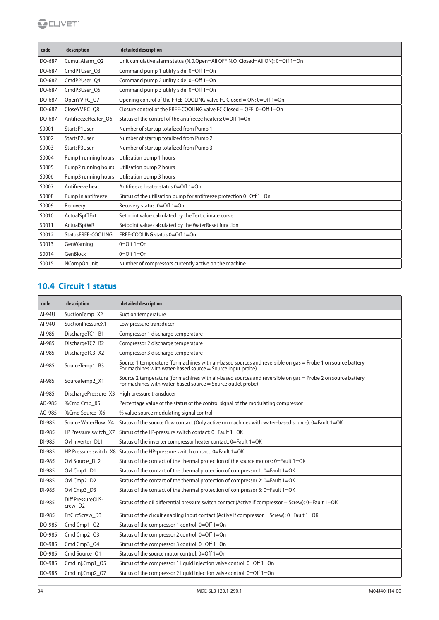| code   | description         | detailed description                                                           |
|--------|---------------------|--------------------------------------------------------------------------------|
| DO-687 | Cumul.Alarm Q2      | Unit cumulative alarm status (N.0.Open=All OFF N.O. Closed=All ON): 0=Off 1=On |
| DO-687 | CmdP1User O3        | Command pump 1 utility side: 0=Off 1=On                                        |
| DO-687 | CmdP2User Q4        | Command pump 2 utility side: 0=Off 1=On                                        |
| DO-687 | CmdP3User_Q5        | Command pump 3 utility side: 0=Off 1=On                                        |
| DO-687 | OpenYV FC Q7        | Opening control of the FREE-COOLING valve FC Closed = ON: 0=Off 1=On           |
| DO-687 | CloseYV FC Q8       | Closure control of the FREE-COOLING valve FC Closed = OFF: $0=$ Off $1=$ On    |
| DO-687 | AntifreezeHeater Q6 | Status of the control of the antifreeze heaters: 0=Off 1=On                    |
| S0001  | StartsP1User        | Number of startup totalized from Pump 1                                        |
| S0002  | StartsP2User        | Number of startup totalized from Pump 2                                        |
| S0003  | StartsP3User        | Number of startup totalized from Pump 3                                        |
| S0004  | Pump1 running hours | Utilisation pump 1 hours                                                       |
| S0005  | Pump2 running hours | Utilisation pump 2 hours                                                       |
| S0006  | Pump3 running hours | Utilisation pump 3 hours                                                       |
| S0007  | Antifreeze heat.    | Antifreeze heater status 0=Off 1=On                                            |
| S0008  | Pump in antifreeze  | Status of the utilisation pump for antifreeze protection 0=Off 1=On            |
| S0009  | Recovery            | Recovery status: 0=Off 1=On                                                    |
| S0010  | ActualSptTExt       | Setpoint value calculated by the Text climate curve                            |
| S0011  | ActualSptWR         | Setpoint value calculated by the WaterReset function                           |
| S0012  | StatusFREE-COOLING  | FREE-COOLING status 0=Off 1=On                                                 |
| S0013  | GenWarning          | $0=$ Off $1=$ On                                                               |
| S0014  | GenBlock            | $0=$ Off $1=$ On                                                               |
| S0015  | NCompOnUnit         | Number of compressors currently active on the machine                          |

# **10.4 Circuit 1 status**

| code   | description                   | detailed description                                                                                                                                                        |
|--------|-------------------------------|-----------------------------------------------------------------------------------------------------------------------------------------------------------------------------|
| AI-94U | SuctionTemp X2                | Suction temperature                                                                                                                                                         |
| AI-94U | SuctionPressureX1             | Low pressure transducer                                                                                                                                                     |
| AI-985 | DischargeTC1 B1               | Compressor 1 discharge temperature                                                                                                                                          |
| AI-985 | DischargeTC2 B2               | Compressor 2 discharge temperature                                                                                                                                          |
| AI-985 | DischargeTC3 X2               | Compressor 3 discharge temperature                                                                                                                                          |
| AI-985 | SourceTemp1 B3                | Source 1 temperature (for machines with air-based sources and reversible on gas = Probe 1 on source battery.<br>For machines with water-based source = Source input probe)  |
| AI-985 | SourceTemp2 X1                | Source 2 temperature (for machines with air-based sources and reversible on gas = Probe 2 on source battery.<br>For machines with water-based source = Source outlet probe) |
| AI-985 | DischargePressure X3          | High pressure transducer                                                                                                                                                    |
| AO-985 | %Cmd Cmp X5                   | Percentage value of the status of the control signal of the modulating compressor                                                                                           |
| AO-985 | %Cmd Source X6                | % value source modulating signal control                                                                                                                                    |
| DI-985 | Source WaterFlow X4           | Status of the source flow contact (Only active on machines with water-based source): 0=Fault 1=OK                                                                           |
| DI-985 | LP Pressure switch X7         | Status of the LP-pressure switch contact: 0=Fault 1=OK                                                                                                                      |
| DI-985 | Ovl Inverter DL1              | Status of the inverter compressor heater contact: 0=Fault 1=OK                                                                                                              |
| DI-985 | HP Pressure switch X8         | Status of the HP-pressure switch contact: 0=Fault 1=OK                                                                                                                      |
| DI-985 | Ovl Source DL2                | Status of the contact of the thermal protection of the source motors: 0=Fault 1=OK                                                                                          |
| DI-985 | Ovl Cmp1 D1                   | Status of the contact of the thermal protection of compressor 1: 0=Fault 1=OK                                                                                               |
| DI-985 | Ovl Cmp2 D2                   | Status of the contact of the thermal protection of compressor 2: 0=Fault 1=OK                                                                                               |
| DI-985 | Ovl Cmp3 D3                   | Status of the contact of the thermal protection of compressor 3: 0=Fault 1=OK                                                                                               |
| DI-985 | Diff.PressureOilS-<br>crew_D2 | Status of the oil differential pressure switch contact (Active if compressor = Screw): 0=Fault 1=OK                                                                         |
| DI-985 | EnCircScrew D3                | Status of the circuit enabling input contact (Active if compressor = Screw): 0=Fault 1=OK                                                                                   |
| DO-985 | Cmd Cmp1 Q2                   | Status of the compressor 1 control: 0=Off 1=On                                                                                                                              |
| DO-985 | Cmd Cmp2 Q3                   | Status of the compressor 2 control: 0=Off 1=On                                                                                                                              |
| DO-985 | Cmd Cmp3_Q4                   | Status of the compressor 3 control: 0=Off 1=On                                                                                                                              |
| DO-985 | Cmd Source Q1                 | Status of the source motor control: 0=Off 1=On                                                                                                                              |
| DO-985 | Cmd Inj.Cmp1 Q5               | Status of the compressor 1 liquid injection valve control: 0=Off 1=On                                                                                                       |
| DO-985 | Cmd Inj.Cmp2 Q7               | Status of the compressor 2 liquid injection valve control: 0=Off 1=On                                                                                                       |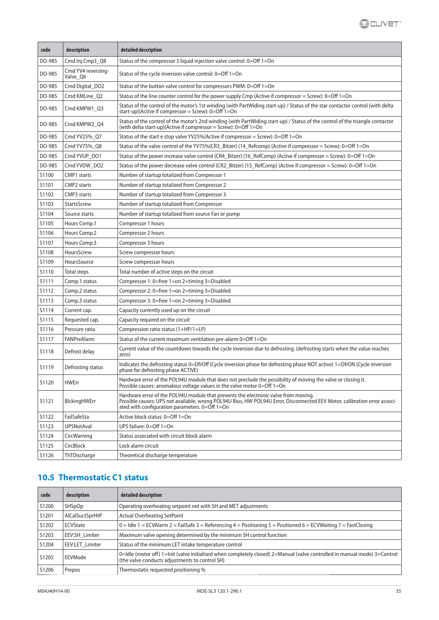

| code   | description                    | detailed description                                                                                                                                                                                                                                               |
|--------|--------------------------------|--------------------------------------------------------------------------------------------------------------------------------------------------------------------------------------------------------------------------------------------------------------------|
| DO-985 | Cmd Inj.Cmp3_Q8                | Status of the compressor 3 liquid injection valve control: 0=Off 1=On                                                                                                                                                                                              |
| DO-985 | Cmd YV4 reversing-<br>Valve_Q6 | Status of the cycle inversion valve control: 0=Off 1=On                                                                                                                                                                                                            |
| DO-985 | Cmd Digital DO2                | Status of the button valve control for compressors PWM: 0=Off 1=On                                                                                                                                                                                                 |
| DO-985 | Cmd KMLine_Q2                  | Status of the line counter control for the power supply Cmp (Active if compressor = Screw): 0=Off 1=On                                                                                                                                                             |
| DO-985 | Cmd KMPW1_Q3                   | Status of the control of the motor's 1st winding (with PartWiding start-up) / Status of the star contactor control (with delta start-up)(Active if compressor = Screw): 0=Off 1=On                                                                                 |
| DO-985 | Cmd KMPW2_Q4                   | Status of the control of the motor's 2nd winding (with PartWiding start-up) / Status of the control of the triangle contactor<br>(with delta start-up)(Active if compressor = Screw): 0=Off 1=On                                                                   |
| DO-985 | Cmd YV25%_Q7                   | Status of the start e stop valve YV25%(Active if compressor = Screw): 0=Off 1=On                                                                                                                                                                                   |
| DO-985 | Cmd YV75%_Q8                   | Status of the valve control of the YV75%(CR3_Bitzer) (14_Refcomp) (Active if compressor = Screw): 0=Off 1=On                                                                                                                                                       |
| DO-985 | Cmd YVUP_DO1                   | Status of the power increase valve control (CR4_Bitzer) (16_RefComp) (Active if compressor = Screw): 0=Off 1=On                                                                                                                                                    |
| DO-985 | Cmd YVDW_DO2                   | Status of the power decrease valve control (CR2_Bitzer) (15_RefComp) (Active if compressor = Screw): 0=Off 1=On                                                                                                                                                    |
| S1100  | <b>CMP1</b> starts             | Number of startup totalized from Compressor 1                                                                                                                                                                                                                      |
| S1101  | <b>CMP2 starts</b>             | Number of startup totalized from Compressor 2                                                                                                                                                                                                                      |
| S1102  | <b>CMP3 starts</b>             | Number of startup totalized from Compressor 3                                                                                                                                                                                                                      |
| S1103  | StartsScrew                    | Number of startup totalized from Compressor                                                                                                                                                                                                                        |
| S1104  | Source starts                  | Number of startup totalized from source Fan or pump                                                                                                                                                                                                                |
| S1105  | Hours Comp.1                   | Compressor 1 hours                                                                                                                                                                                                                                                 |
| S1106  | Hours Comp.2                   | Compressor 2 hours                                                                                                                                                                                                                                                 |
| S1107  | Hours Comp.3                   | Compressor 3 hours                                                                                                                                                                                                                                                 |
| S1108  | HoursScrew                     | Screw compressor hours                                                                                                                                                                                                                                             |
| S1109  | HoursSource                    | Screw compressor hours                                                                                                                                                                                                                                             |
| S1110  | Total steps                    | Total number of active steps on the circuit                                                                                                                                                                                                                        |
| S1111  | Comp.1 status                  | Compressor 1: 0=free 1=on 2=timing 3=Disabled                                                                                                                                                                                                                      |
| S1112  | Comp.2 status                  | Compressor 2: 0=free 1=on 2=timing 3=Disabled                                                                                                                                                                                                                      |
| S1113  | Comp.3 status                  | Compressor 3: 0=free 1=on 2=timing 3=Disabled                                                                                                                                                                                                                      |
| S1114  | Current cap.                   | Capacity currently used up on the circuit                                                                                                                                                                                                                          |
| S1115  | Requested cap.                 | Capacity required on the circuit                                                                                                                                                                                                                                   |
| S1116  | Pressure ratio                 | Compression ratio status (1+HP/1+LP)                                                                                                                                                                                                                               |
| S1117  | FANPreAlarm                    | Status of the current maximum ventilation pre-alarm 0=Off 1=On                                                                                                                                                                                                     |
| S1118  | Defrost delay                  | Current value of the countdown towards the cycle inversion due to defrosting. (defrosting starts when the value reaches<br>zero)                                                                                                                                   |
| S1119  | Defrosting status              | Indicates the defrosting status 0=DfrOff (Cycle inversion phase for defrosting phase NOT active) 1=DfrON (Cycle inversion<br>phase for defrosting phase ACTIVE)                                                                                                    |
| S1120  | <b>HWErr</b>                   | Hardware error of the POL94U module that does not preclude the possibility of moving the valve or closing it.<br>Possible causes: anomalous voltage values in the valve motor 0=Off 1=On                                                                           |
| S1121  | BlckingHWErr                   | Hardware error of the POL94U module that prevents the electronic valve from moving.<br>Possible causes: UPS not available, wrong POL94U Bios, HW POL94U Error, Disconnected EEV Motor, calibration error associ-<br>ated with configuration parameters. 0=Off 1=On |
| S1122  | FailSafeSta                    | Active block status: 0=Off 1=On                                                                                                                                                                                                                                    |
| S1123  | <b>UPSNotAval</b>              | UPS failure: 0=Off 1=On                                                                                                                                                                                                                                            |
| S1124  | CircWarning                    | Status associated with circuit block alarm                                                                                                                                                                                                                         |
| S1125  | CircBlock                      | Lock alarm circuit                                                                                                                                                                                                                                                 |
| S1126  | ThTDischarge                   | Theoretical discharge temperature                                                                                                                                                                                                                                  |

# **10.5 Thermostatic C1 status**

| code  | description     | detailed description                                                                                                                                                        |
|-------|-----------------|-----------------------------------------------------------------------------------------------------------------------------------------------------------------------------|
| S1200 | SHSpOp          | Operating overheating setpoint net with SH and MET adjustments                                                                                                              |
| S1201 | AICalSuctSprHtP | <b>Actual Overheating SetPoint</b>                                                                                                                                          |
| S1202 | ECVState        | $0 =$ Idle 1 = ECVAlarm 2 = FailSafe 3 = Referencing 4 = Positioning 5 = Positioned 6 = ECVWaiting 7 = FastClosing                                                          |
| S1203 | EEV:SH Limiter  | Maximum valve opening determined by the minimum SH control function                                                                                                         |
| S1204 | EEV:LET Limiter | Status of the minimum LET intake temperature control                                                                                                                        |
| S1205 | EEVMode         | 0=Idle (motor off) 1=Init (valve initialised when completely closed) 2=Manual (valve controlled in manual mode) 3=Control<br>(the valve conducts adjustments to control SH) |
| S1206 | Prepos          | Thermostatic requested positioning %                                                                                                                                        |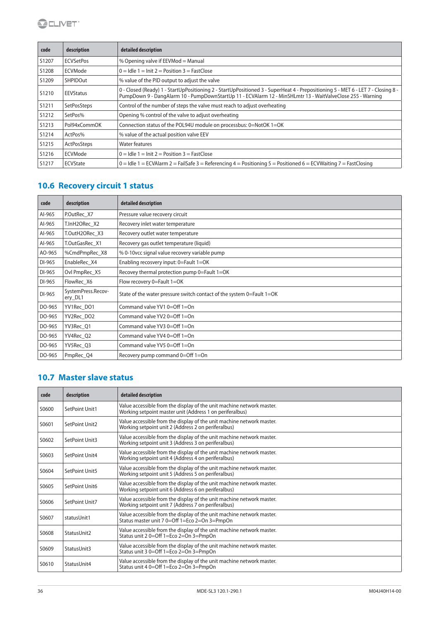| code  | description      | detailed description                                                                                                                                                                                                                           |
|-------|------------------|------------------------------------------------------------------------------------------------------------------------------------------------------------------------------------------------------------------------------------------------|
| S1207 | <b>ECVSetPos</b> | % Opening valve if EEVMod = Manual                                                                                                                                                                                                             |
| S1208 | ECVMode          | $0 =$ Idle 1 = Init 2 = Position 3 = FastClose                                                                                                                                                                                                 |
| S1209 | <b>SHPIDOut</b>  | % value of the PID output to adjust the valve                                                                                                                                                                                                  |
| S1210 | <b>EEVStatus</b> | 0 - Closed (Ready) 1 - StartUpPositioning 2 - StartUpPositioned 3 - SuperHeat 4 - Prepositioning 5 - MET 6 - LET 7 - Closing 8 -<br>PumpDown 9 - DangAlarm 10 - PumpDownStartUp 11 - ECVAlarm 12 - MinSHLmtr 13 - WaitValveClose 255 - Warning |
| S1211 | SetPosSteps      | Control of the number of steps the valve must reach to adjust overheating                                                                                                                                                                      |
| S1212 | SetPos%          | Opening % control of the valve to adjust overheating                                                                                                                                                                                           |
| S1213 | Pol94xCommOK     | Connection status of the POL94U module on processbus: 0=NotOK 1=OK                                                                                                                                                                             |
| S1214 | ActPos%          | % value of the actual position valve EEV                                                                                                                                                                                                       |
| S1215 | ActPosSteps      | Water features                                                                                                                                                                                                                                 |
| S1216 | ECVMode          | $0 =$ Idle 1 = Init 2 = Position 3 = FastClose                                                                                                                                                                                                 |
| S1217 | ECVState         | $0 =$ Idle 1 = ECVAIarm 2 = FailSafe 3 = Referencing 4 = Positioning 5 = Positioned 6 = ECVWaiting 7 = FastClosing                                                                                                                             |

# **10.6 Recovery circuit 1 status**

| code   | description                   | detailed description                                                  |
|--------|-------------------------------|-----------------------------------------------------------------------|
| AI-965 | P.OutRec X7                   | Pressure value recovery circuit                                       |
| AI-965 | T.InH2ORec X2                 | Recovery inlet water temperature                                      |
| AI-965 | T.OutH2ORec X3                | Recovery outlet water temperature                                     |
| AI-965 | T.OutGasRec X1                | Recovery gas outlet temperature (liquid)                              |
| AO-965 | %CmdPmpRec_X8                 | % 0-10 vcc signal value recovery variable pump                        |
| DI-965 | EnableRec X4                  | Enabling recosvery input: 0=Fault 1=OK                                |
| DI-965 | Ovl PmpRec X5                 | Recovey thermal protection pump 0=Fault 1=OK                          |
| DI-965 | FlowRec X6                    | Flow recovery 0=Fault 1=OK                                            |
| DI-965 | SystemPress.Recov-<br>ery_DL1 | State of the water pressure switch contact of the system 0=Fault 1=OK |
| DO-965 | YV1Rec_DO1                    | Command valve YV1 0=Off 1=On                                          |
| DO-965 | YV2Rec DO2                    | Command valve YV2 0=Off 1=On                                          |
| DO-965 | YV3Rec Q1                     | Command valve YV3 0=Off 1=On                                          |
| DO-965 | YV4Rec_Q2                     | Command valve YV4 0=Off 1=On                                          |
| DO-965 | YV5Rec Q3                     | Command valve YV5 0=Off 1=On                                          |
| DO-965 | PmpRec Q4                     | Recovery pump command $0=$ Off $1=$ On                                |

# **10.7 Master slave status**

| code  | description    | detailed description                                                                                                              |
|-------|----------------|-----------------------------------------------------------------------------------------------------------------------------------|
| S0600 | SetPoint Unit1 | Value accessible from the display of the unit machine network master.<br>Working setpoint master unit (Address 1 on periferalbus) |
| S0601 | SetPoint Unit2 | Value accessible from the display of the unit machine network master.<br>Working setpoint unit 2 (Address 2 on periferalbus)      |
| S0602 | SetPoint Unit3 | Value accessible from the display of the unit machine network master.<br>Working setpoint unit 3 (Address 3 on periferalbus)      |
| S0603 | SetPoint Unit4 | Value accessible from the display of the unit machine network master.<br>Working setpoint unit 4 (Address 4 on periferalbus)      |
| S0604 | SetPoint Unit5 | Value accessible from the display of the unit machine network master.<br>Working setpoint unit 5 (Address 5 on periferalbus)      |
| S0605 | SetPoint Unit6 | Value accessible from the display of the unit machine network master.<br>Working setpoint unit 6 (Address 6 on periferalbus)      |
| S0606 | SetPoint Unit7 | Value accessible from the display of the unit machine network master.<br>Working setpoint unit 7 (Address 7 on periferalbus)      |
| S0607 | statusUnit1    | Value accessible from the display of the unit machine network master.<br>Status master unit 7 0=Off 1=Eco 2=On 3=PmpOn            |
| S0608 | StatusUnit2    | Value accessible from the display of the unit machine network master.<br>Status unit 2 0=Off 1=Eco 2=On 3=PmpOn                   |
| S0609 | StatusUnit3    | Value accessible from the display of the unit machine network master.<br>Status unit 3 0=Off 1=Eco 2=On 3=PmpOn                   |
| S0610 | StatusUnit4    | Value accessible from the display of the unit machine network master.<br>Status unit 4 0=Off 1=Eco 2=On 3=PmpOn                   |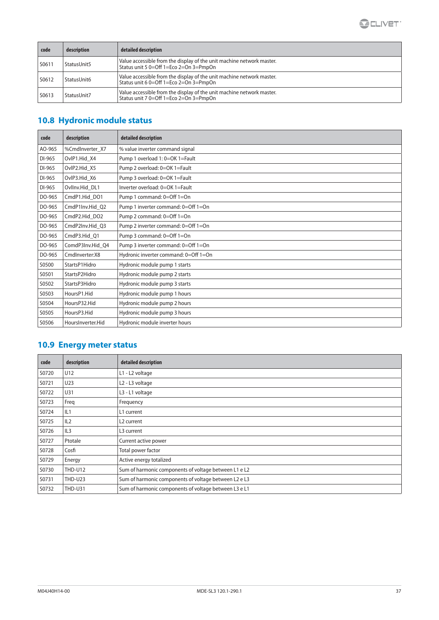| code  | description | detailed description                                                                                            |
|-------|-------------|-----------------------------------------------------------------------------------------------------------------|
| S0611 | StatusUnit5 | Value accessible from the display of the unit machine network master.<br>Status unit 5 0=Off 1=Eco 2=On 3=PmpOn |
| S0612 | StatusUnit6 | Value accessible from the display of the unit machine network master.<br>Status unit 6 0=Off 1=Eco 2=On 3=PmpOn |
| S0613 | StatusUnit7 | Value accessible from the display of the unit machine network master.<br>Status unit 7 0=Off 1=Eco 2=On 3=PmpOn |

# **10.8 Hydronic module status**

| code   | description       | detailed description                  |
|--------|-------------------|---------------------------------------|
| AO-965 | %CmdInverter_X7   | % value inverter command signal       |
| DI-965 | OvlP1.Hid X4      | Pump 1 overload 1:0=OK 1=Fault        |
| DI-965 | OvlP2.Hid X5      | Pump 2 overload: 0=OK 1=Fault         |
| DI-965 | OvlP3.Hid X6      | Pump 3 overload: 0=OK 1=Fault         |
| DI-965 | Ovllnv.Hid DL1    | Inverter overload: 0=OK 1=Fault       |
| DO-965 | CmdP1.Hid_DO1     | Pump 1 command: 0=Off 1=On            |
| DO-965 | CmdP1Inv.Hid Q2   | Pump 1 inverter command: 0=Off 1=On   |
| DO-965 | CmdP2.Hid DO2     | Pump 2 command: 0=Off 1=On            |
| DO-965 | CmdP2Inv.Hid_Q3   | Pump 2 inverter command: 0=Off 1=On   |
| DO-965 | CmdP3.Hid Q1      | Pump 3 command: 0=Off 1=On            |
| DO-965 | ComdP3Inv.Hid Q4  | Pump 3 inverter command: 0=Off 1=On   |
| DO-965 | CmdInverter:X8    | Hydronic inverter command: 0=Off 1=On |
| S0500  | StartsP1Hidro     | Hydronic module pump 1 starts         |
| S0501  | StartsP2Hidro     | Hydronic module pump 2 starts         |
| S0502  | StartsP3Hidro     | Hydronic module pump 3 starts         |
| S0503  | HoursP1.Hid       | Hydronic module pump 1 hours          |
| S0504  | HoursP32.Hid      | Hydronic module pump 2 hours          |
| S0505  | HoursP3.Hid       | Hydronic module pump 3 hours          |
| S0506  | HoursInverter.Hid | Hydronic module inverter hours        |

# **10.9 Energy meter status**

| code  | description     | detailed description                                  |
|-------|-----------------|-------------------------------------------------------|
| S0720 | U12             | L1 - L2 voltage                                       |
| S0721 | U23             | L <sub>2</sub> - L <sub>3</sub> voltage               |
| S0722 | U31             | L3 - L1 voltage                                       |
| S0723 | Freq            | Frequency                                             |
| S0724 | IL <sub>1</sub> | L1 current                                            |
| S0725 | IL2             | L <sub>2</sub> current                                |
| S0726 | IL <sub>3</sub> | L3 current                                            |
| S0727 | Ptotale         | Current active power                                  |
| S0728 | Cosfi           | Total power factor                                    |
| S0729 | Energy          | Active energy totalized                               |
| S0730 | <b>THD-U12</b>  | Sum of harmonic components of voltage between L1 e L2 |
| S0731 | THD-U23         | Sum of harmonic components of voltage between L2 e L3 |
| S0732 | <b>THD-U31</b>  | Sum of harmonic components of voltage between L3 e L1 |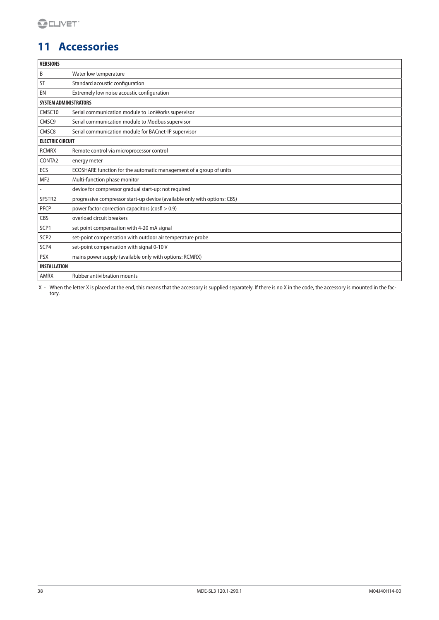# **11 Accessories**

| <b>VERSIONS</b>              |                                                                           |
|------------------------------|---------------------------------------------------------------------------|
| B                            | Water low temperature                                                     |
| <b>ST</b>                    | Standard acoustic configuration                                           |
| EN                           | Extremely low noise acoustic configuration                                |
| <b>SYSTEM ADMINISTRATORS</b> |                                                                           |
| CMSC10                       | Serial communication module to LonWorks supervisor                        |
| CMSC9                        | Serial communication module to Modbus supervisor                          |
| CMSC8                        | Serial communication module for BACnet-IP supervisor                      |
| <b>ELECTRIC CIRCUIT</b>      |                                                                           |
| <b>RCMRX</b>                 | Remote control via microprocessor control                                 |
| CONTA2                       | energy meter                                                              |
| ECS                          | ECOSHARE function for the automatic management of a group of units        |
| MF <sub>2</sub>              | Multi-function phase monitor                                              |
|                              | device for compressor gradual start-up: not required                      |
| SFSTR <sub>2</sub>           | progressive compressor start-up device (available only with options: CBS) |
| PFCP                         | power factor correction capacitors (cosfi > 0.9)                          |
| CBS                          | overload circuit breakers                                                 |
| SCP <sub>1</sub>             | set point compensation with 4-20 mA signal                                |
| SCP <sub>2</sub>             | set-point compensation with outdoor air temperature probe                 |
| SCP4                         | set-point compensation with signal 0-10V                                  |
| <b>PSX</b>                   | mains power supply (available only with options: RCMRX)                   |
| <b>INSTALLATION</b>          |                                                                           |
| <b>AMRX</b>                  | <b>Rubber antivibration mounts</b>                                        |

X - When the letter X is placed at the end, this means that the accessory is supplied separately. If there is no X in the code, the accessory is mounted in the factory.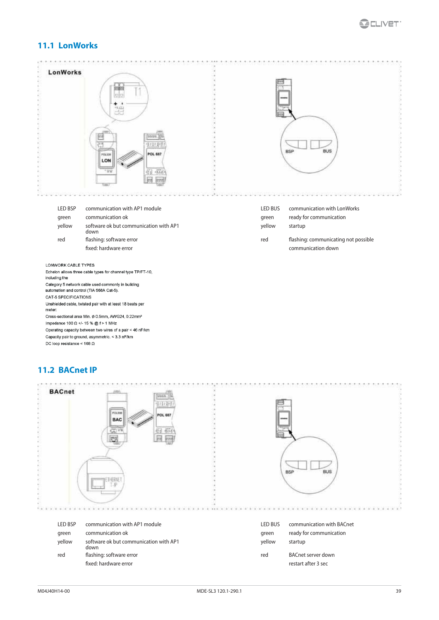## **11.1 LonWorks**

| LonWorks                   |                                                                               |                |                                      |
|----------------------------|-------------------------------------------------------------------------------|----------------|--------------------------------------|
|                            | FF 8 F<br>鳢<br>开关<br>9211199<br>POL 687<br>POLICE<br>LON<br>$-15.1$<br>$-274$ |                | <b>BUS</b><br><b>BSP</b>             |
|                            |                                                                               |                |                                      |
| <b>LED BSP</b>             | communication with AP1 module                                                 | <b>LED BUS</b> | communication with LonWorks          |
| green                      | communication ok                                                              | green          | ready for communication              |
| yellow                     | software ok but communication with AP1<br>down                                | yellow         | startup                              |
| red                        | flashing: software error                                                      | red            | flashing: communicating not possible |
|                            | fixed: hardware error                                                         |                | communication down                   |
| <b>LONWORK CABLE TYPES</b> |                                                                               |                |                                      |
| including the              | Echelon allows three cable types for channel type TP/FT-10,                   |                |                                      |

DC loop resistance < 168  $\Omega$ 

CAT-5 SPECIFICATIONS

meter:

Category 5 network cable used commonly in building<br>automation and control (TIA 568A Cat-5).

Unshielded cable, twisted pair with at least 18 beats per

Cross-sectional area Min. Ø 0.5mm, AWG24, 0.22mm<sup>2</sup> Impedance 100  $\Omega$  +/- 15 % @ f > 1 MHz

Operating capacity between two wires of a pair < 46 nF/km Capacity pair to ground, asymmetric. < 3.3 nF/km

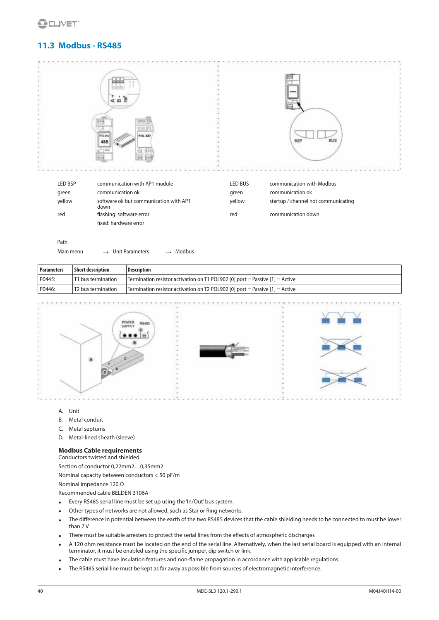## **11.3 Modbus - RS485**



red flashing: software error red red communication down

Path

Main menu  $\rightarrow$  Unit Parameters  $\rightarrow$  Modbus

fixed: hardware error

**Parameters** Short description Description P0445:  $|T1 \text{ bus termination}|\text{Termination resistor activation}$  Termination resistor activation on T1 POL902 [0] port = Passive [1] = Active P0446:  $|T2 \text{ bus termination}|\text{Termination resistor activation on T2 POL902 [0] port = Passive [1] = Active}$ 



#### A. Unit

- B. Metal conduit
- C. Metal septums
- D. Metal-lined sheath (sleeve)

#### **Modbus Cable requirements**

Conductors twisted and shielded Section of conductor 0,22mm2…0,35mm2

Nominal capacity between conductors < 50 pF/m

Nominal impedance 120 Ω

Recommended cable BELDEN 3106A

- Every RS485 serial line must be set up using the 'In/Out' bus system.
- Other types of networks are not allowed, such as Star or Ring networks.
- The difference in potential between the earth of the two RS485 devices that the cable shielding needs to be connected to must be lower than 7 V
- There must be suitable arresters to protect the serial lines from the effects of atmospheric discharges
- A 120 ohm resistance must be located on the end of the serial line. Alternatively, when the last serial board is equipped with an internal terminator, it must be enabled using the specific jumper, dip switch or link.
- The cable must have insulation features and non-flame propagation in accordance with applicable regulations.
- The RS485 serial line must be kept as far away as possible from sources of electromagnetic interference.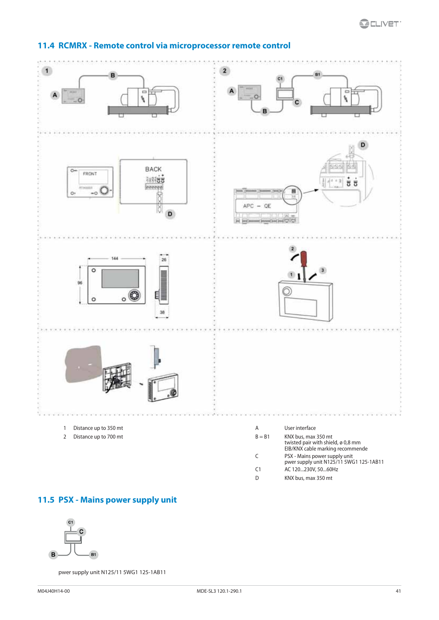

# **11.4 RCMRX - Remote control via microprocessor remote control**

## **11.5 PSX - Mains power supply unit**



pwer supply unit N125/11 5WG1 125-1AB11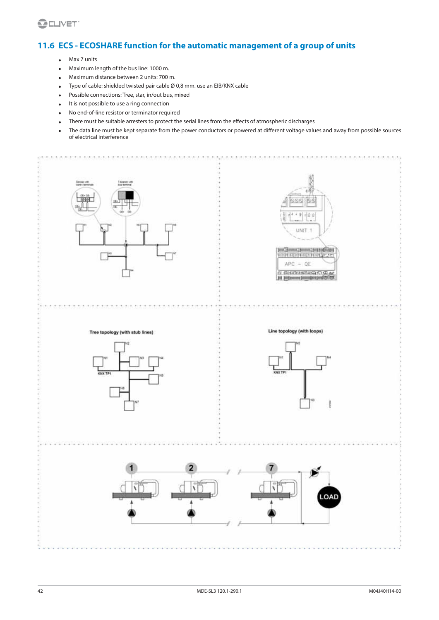

# **11.6 ECS - ECOSHARE function for the automatic management of a group of units**

- Max 7 units
- Maximum length of the bus line: 1000 m.
- Maximum distance between 2 units: 700 m.
- Type of cable: shielded twisted pair cable  $\emptyset$  0,8 mm. use an EIB/KNX cable<br>• Possible connections: Tree, star, in/out bus, mixed
- Possible connections: Tree, star, in/out bus, mixed<br>• It is not possible to use a ring connection
- It is not possible to use a ring connection
- No end-of-line resistor or terminator required
- There must be suitable arresters to protect the serial lines from the effects of atmospheric discharges
- The data line must be kept separate from the power conductors or powered at different voltage values and away from possible sources of electrical interference

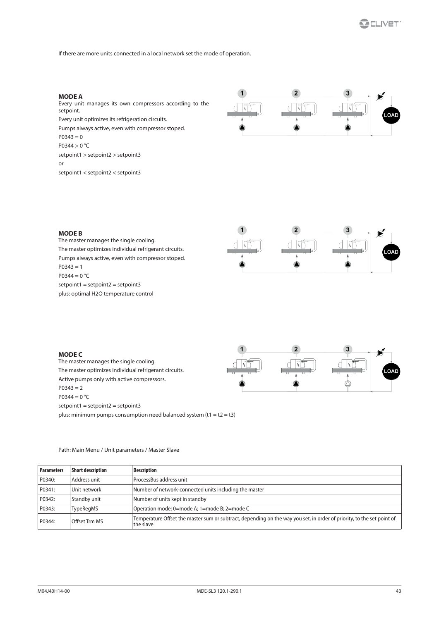If there are more units connected in a local network set the mode of operation.

#### **MODE A**

Every unit manages its own compressors according to the setpoint.

Every unit optimizes its refrigeration circuits.

Pumps always active, even with compressor stoped.

 $P0343 = 0$ 

P0344 > 0 °C

setpoint1 > setpoint2 > setpoint3

or

setpoint1 < setpoint2 < setpoint3



#### **MODE B**

The master manages the single cooling. The master optimizes individual refrigerant circuits. Pumps always active, even with compressor stoped.  $P0343 = 1$  $P0344 = 0 °C$ setpoint1 = setpoint2 = setpoint3 plus: optimal H2O temperature control



#### **MODE C**

The master manages the single cooling. The master optimizes individual refrigerant circuits. Active pumps only with active compressors.  $P0343 = 2$  $P0344 = 0 °C$ setpoint1 = setpoint2 = setpoint3 plus: minimum pumps consumption need balanced system  $(t1 = t2 = t3)$ 



Path: Main Menu / Unit parameters / Master Slave

| <b>Parameters</b> | <b>Short description</b> | Description                                                                                                                         |
|-------------------|--------------------------|-------------------------------------------------------------------------------------------------------------------------------------|
| P0340:            | Address unit             | ProcessBus address unit                                                                                                             |
| P0341:            | Unit network             | Number of network-connected units including the master                                                                              |
| P0342:            | Standby unit             | Number of units kept in standby                                                                                                     |
| P0343:            | <b>TypeRegMS</b>         | Operation mode: 0=mode A; 1=mode B; 2=mode C                                                                                        |
| P0344:            | Offset Trm MS            | Temperature Offset the master sum or subtract, depending on the way you set, in order of priority, to the set point of<br>the slave |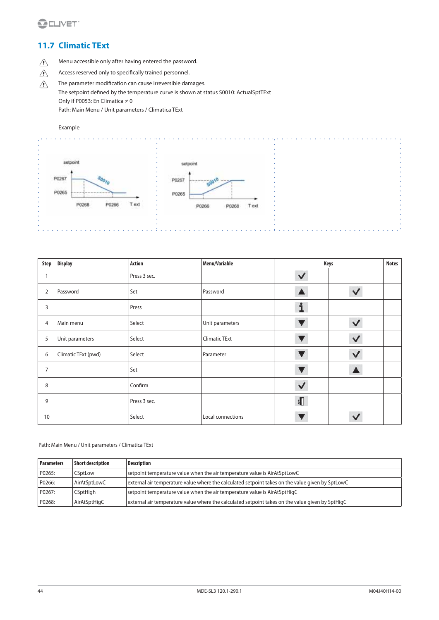# **11.7 Climatic TExt**

- Menu accessible only after having entered the password.  $\bigwedge$
- Access reserved only to specifically trained personnel.  $\triangle$
- $\triangle$ The parameter modification can cause irreversible damages. The setpoint defined by the temperature curve is shown at status S0010: ActualSptTExt Only if P0053: En Climatica ≠ 0

Path: Main Menu / Unit parameters / Climatica TExt

#### Example



| Step           | <b>Display</b>      | Action       | Menu/Variable        |                     | Keys | <b>Notes</b> |
|----------------|---------------------|--------------|----------------------|---------------------|------|--------------|
| 1              |                     | Press 3 sec. |                      | $\checkmark$        |      |              |
| 2              | Password            | Set          | Password             |                     |      |              |
| 3              |                     | Press        |                      | $\ddot{\mathbf{1}}$ |      |              |
| 4              | Main menu           | Select       | Unit parameters      |                     |      |              |
| 5              | Unit parameters     | Select       | <b>Climatic TExt</b> |                     |      |              |
| 6              | Climatic TExt (pwd) | Select       | Parameter            |                     |      |              |
| $\overline{7}$ |                     | Set          |                      |                     |      |              |
| 8              |                     | Confirm      |                      | $\checkmark$        |      |              |
| 9              |                     | Press 3 sec. |                      | 刚                   |      |              |
| 10             |                     | Select       | Local connections    |                     |      |              |

#### Path: Main Menu / Unit parameters / Climatica TExt

| <b>Parameters</b> | <b>Short description</b> | <b>Description</b>                                                                               |
|-------------------|--------------------------|--------------------------------------------------------------------------------------------------|
| P0265:            | CSptLow                  | setpoint temperature value when the air temperature value is AirAtSptLowC                        |
| P0266:            | AirAtSptLowC             | external air temperature value where the calculated setpoint takes on the value given by SptLowC |
| P0267:            | CSptHigh                 | setpoint temperature value when the air temperature value is AirAtSptHigC                        |
| P0268:            | AirAtSptHigC             | external air temperature value where the calculated setpoint takes on the value given by SptHigC |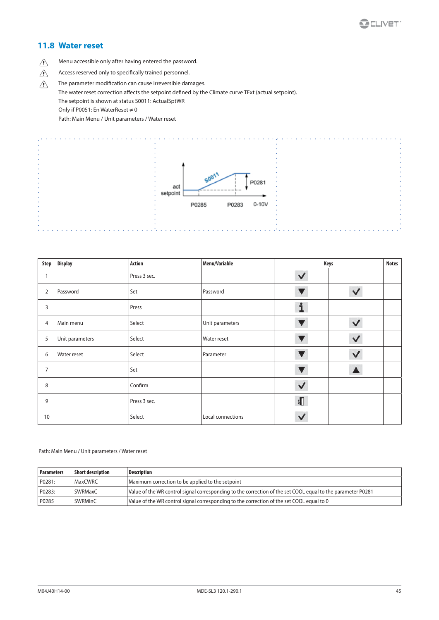

### **11.8 Water reset**

- $\hat{\wedge}$ Menu accessible only after having entered the password.
- $\triangle$ Access reserved only to specifically trained personnel.

 $\wedge$ The parameter modification can cause irreversible damages. The water reset correction affects the setpoint defined by the Climate curve TExt (actual setpoint). The setpoint is shown at status S0011: ActualSptWR Only if P0051: En WaterReset ≠ 0 Path: Main Menu / Unit parameters / Water reset

**S0011** P0281 act setpoint P0285 P0283  $0 - 10V$ 

| <b>Step</b>    | <b>Display</b>  | <b>Action</b> | <b>Menu/Variable</b> |              | Keys         | <b>Notes</b> |
|----------------|-----------------|---------------|----------------------|--------------|--------------|--------------|
| 1              |                 | Press 3 sec.  |                      | $\checkmark$ |              |              |
| 2              | Password        | Set           | Password             | V            | $\checkmark$ |              |
| 3              |                 | Press         |                      | i            |              |              |
| 4              | Main menu       | Select        | Unit parameters      | V            | $\checkmark$ |              |
| 5              | Unit parameters | Select        | Water reset          |              | $\checkmark$ |              |
| 6              | Water reset     | Select        | Parameter            | V            | $\checkmark$ |              |
| $\overline{7}$ |                 | Set           |                      |              |              |              |
| 8              |                 | Confirm       |                      | $\checkmark$ |              |              |
| 9              |                 | Press 3 sec.  |                      | 叽            |              |              |
| 10             |                 | Select        | Local connections    | $\checkmark$ |              |              |

#### Path: Main Menu / Unit parameters / Water reset

| <b>Parameters</b> | Short description | Description                                                                                                 |
|-------------------|-------------------|-------------------------------------------------------------------------------------------------------------|
| P0281:            | MaxCWRC           | Maximum correction to be applied to the setpoint                                                            |
| P0283:            | SWRMaxC           | Value of the WR control signal corresponding to the correction of the set COOL equal to the parameter P0281 |
| P0285             | SWRMinC           | Value of the WR control signal corresponding to the correction of the set COOL equal to 0                   |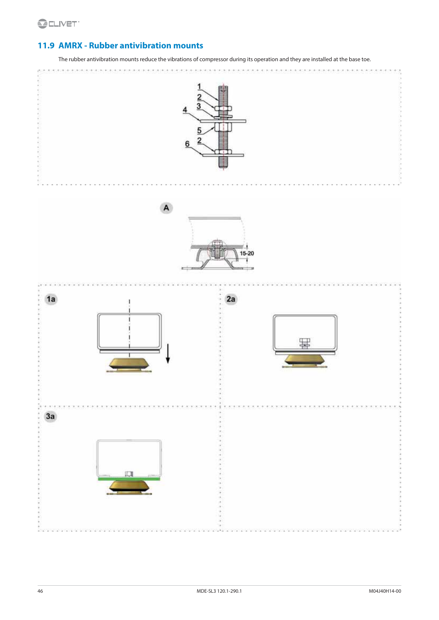# **11.9 AMRX - Rubber antivibration mounts**

The rubber antivibration mounts reduce the vibrations of compressor during its operation and they are installed at the base toe.

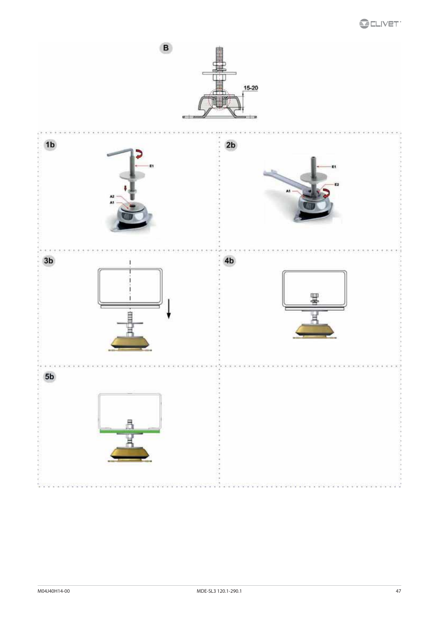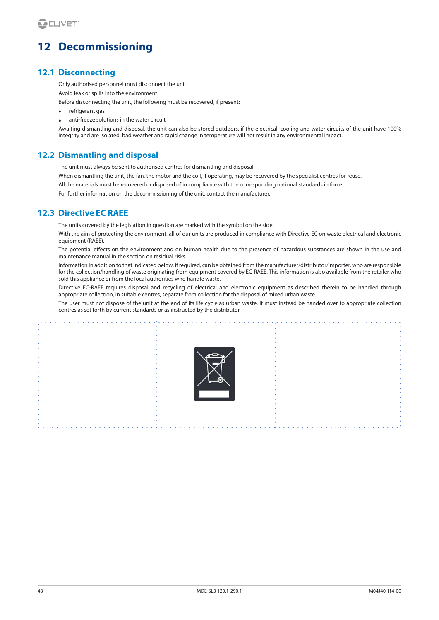# **12 Decommissioning**

### **12.1 Disconnecting**

Only authorised personnel must disconnect the unit.

Avoid leak or spills into the environment.

Before disconnecting the unit, the following must be recovered, if present:

- refrigerant gas
- anti-freeze solutions in the water circuit

Awaiting dismantling and disposal, the unit can also be stored outdoors, if the electrical, cooling and water circuits of the unit have 100% integrity and are isolated, bad weather and rapid change in temperature will not result in any environmental impact.

#### **12.2 Dismantling and disposal**

The unit must always be sent to authorised centres for dismantling and disposal.

When dismantling the unit, the fan, the motor and the coil, if operating, may be recovered by the specialist centres for reuse.

All the materials must be recovered or disposed of in compliance with the corresponding national standards in force.

For further information on the decommissioning of the unit, contact the manufacturer.

#### **12.3 Directive EC RAEE**

The units covered by the legislation in question are marked with the symbol on the side.

With the aim of protecting the environment, all of our units are produced in compliance with Directive EC on waste electrical and electronic equipment (RAEE).

The potential effects on the environment and on human health due to the presence of hazardous substances are shown in the use and maintenance manual in the section on residual risks.

Information in addition to that indicated below, if required, can be obtained from the manufacturer/distributor/importer, who are responsible for the collection/handling of waste originating from equipment covered by EC-RAEE. This information is also available from the retailer who sold this appliance or from the local authorities who handle waste.

Directive EC-RAEE requires disposal and recycling of electrical and electronic equipment as described therein to be handled through appropriate collection, in suitable centres, separate from collection for the disposal of mixed urban waste.

The user must not dispose of the unit at the end of its life cycle as urban waste, it must instead be handed over to appropriate collection centres as set forth by current standards or as instructed by the distributor.

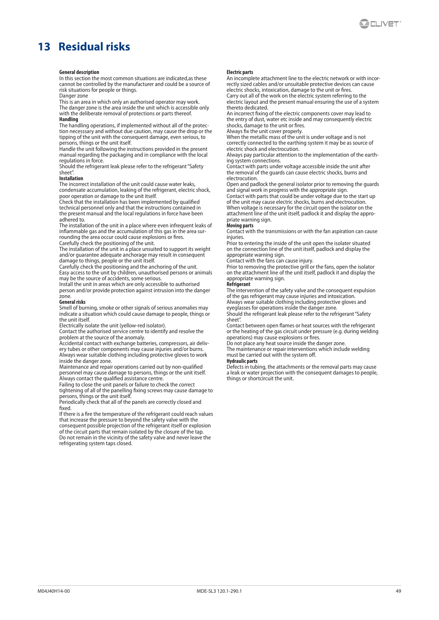

# **13 Residual risks**

#### **General description**

In this section the most common situations are indicated,as these cannot be controlled by the manufacturer and could be a source of risk situations for people or things. Danger zone

This is an area in which only an authorised operator may work.

The danger zone is the area inside the unit which is accessible only with the deliberate removal of protections or parts thereof. **Handling**

The handling operations, if implemented without all of the protection necesssary and without due caution, may cause the drop or the tipping of the unit with the consequent damage, even serious, to persons, things or the unit itself.

Handle the unit following the instructions provided in the present manual regarding the packaging and in compliance with the local regulations in force.

Should the refrigerant leak please refer to the refrigerant "Safety sheet".

#### **Installation**

The incorrect installation of the unit could cause water leaks, condensate accumulation, leaking of the refrigerant, electric shock, poor operation or damage to the unit itself.

Check that the installation has been implemented by qualified technical personnel only and that the instructions contained in the present manual and the local regulations in force have been adhered to.

The installation of the unit in a place where even infrequent leaks of inflammable gas and the accumulation of this gas in the area surrounding the area occur could cause explosions or fires. Carefully check the positioning of the unit.

The installation of the unit in a place unsuited to support its weight and/or guarantee adequate anchorage may result in consequent damage to things, people or the unit itself.

Carefully check the positioning and the anchoring of the unit. Easy access to the unit by children, unauthorised persons or animals may be the source of accidents, some serious.

Install the unit in areas which are only accessible to authorised person and/or provide protection against intrusion into the danger zone.

#### **General risks**

Smell of burning, smoke or other signals of serious anomalies may indicate a situation which could cause damage to people, things or the unit itself.

Electrically isolate the unit (yellow-red isolator).

Contact the authorised service centre to identify and resolve the problem at the source of the anomaly.

Accidental contact with exchange batteries, compressors, air delivery tubes or other components may cause injuries and/or burns. Always wear suitable clothing including protective gloves to work inside the danger zone.

Maintenance and repair operations carried out by non-qualified personnel may cause damage to persons, things or the unit itself. Always contact the qualified assistance centre.

Failing to close the unit panels or failure to check the correct

tightening of all of the panelling fixing screws may cause damage to persons, things or the unit itself.

Periodically check that all of the panels are correctly closed and fixed.

If there is a fire the temperature of the refrigerant could reach values that increase the pressure to beyond the safety valve with the consequent possible projection of the refrigerant itself or explosion of the circuit parts that remain isolated by the closure of the tap. Do not remain in the vicinity of the safety valve and never leave the refrigerating system taps closed.

#### **Electric parts**

An incomplete attachment line to the electric network or with incorrectly sized cables and/or unsuitable protective devices can cause electric shocks, intoxication, damage to the unit or fires.

Carry out all of the work on the electric system referring to the electric layout and the present manual ensuring the use of a system thereto dedicated.

An incorrect fixing of the electric components cover may lead to the entry of dust, water etc inside and may consequently electric shocks, damage to the unit or fires.

Always fix the unit cover properly.

When the metallic mass of the unit is under voltage and is not correctly connected to the earthing system it may be as source of electric shock and electrocution.

Always pay particular attention to the implementation of the earthing system connections.

Contact with parts under voltage accessible inside the unit after the removal of the guards can cause electric shocks, burns and electrocution.

Open and padlock the general isolator prior to removing the guards and signal work in progress with the appropriate sign.

Contact with parts that could be under voltage due to the start up of the unit may cause electric shocks, burns and electrocution. When voltage is necessary for the circuit open the isolator on the attachment line of the unit itself, padlock it and display the appropriate warning sign.

#### **Moving parts**

Contact with the transmissions or with the fan aspiration can cause injuries.

Prior to entering the inside of the unit open the isolater situated on the connection line of the unit itself, padlock and display the appropriate warning sign.

Contact with the fans can cause injury.

Prior to removing the protective grill or the fans, open the isolator on the attachment line of the unit itself, padlock it and display the appropriate warning sign.

**Refrigerant**

The intervention of the safety valve and the consequent expulsion of the gas refrigerant may cause injuries and intoxication.

Always wear suitable clothing including protective gloves and eyeglasses for operations inside the danger zone.

Should the refrigerant leak please refer to the refrigerant "Safety sheet".

Contact between open flames or heat sources with the refrigerant or the heating of the gas circuit under pressure (e.g. during welding operations) may cause explosions or fires.

Do not place any heat source inside the danger zone.

The maintenance or repair interventions which include welding must be carried out with the system off.

**Hydraulic parts**

Defects in tubing, the attachments or the removal parts may cause a leak or water projection with the consequent damages to people, things or shortcircuit the unit.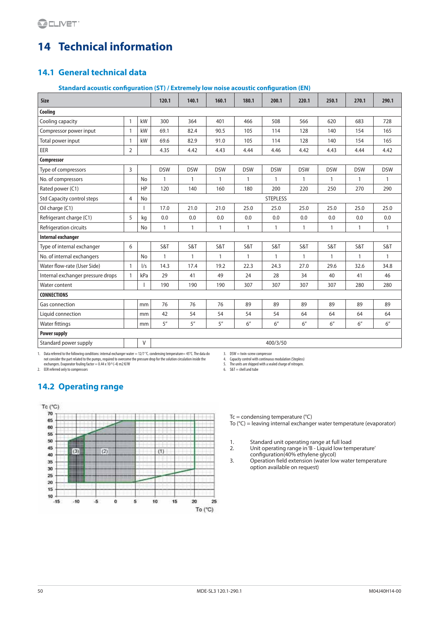# **14 Technical information**

# **14.1 General technical data**

#### **Standard acoustic configuration (ST) / Extremely low noise acoustic configuration (EN)**

| <b>Size</b>                       |                |           | 120.1        | 140.1        | 160.1        | 180.1        | 200.1           | 220.1        | 250.1        | 270.1      | 290.1        |
|-----------------------------------|----------------|-----------|--------------|--------------|--------------|--------------|-----------------|--------------|--------------|------------|--------------|
| Cooling                           |                |           |              |              |              |              |                 |              |              |            |              |
| Cooling capacity                  | $\mathbf{1}$   | kW        | 300          | 364          | 401          | 466          | 508             | 566          | 620          | 683        | 728          |
| Compressor power input            | $\mathbf{1}$   | kW        | 69.1         | 82.4         | 90.5         | 105          | 114             | 128          | 140          | 154        | 165          |
| Total power input                 | 1              | kW        | 69.6         | 82.9         | 91.0         | 105          | 114             | 128          | 140          | 154        | 165          |
| EER                               | 2              |           | 4.35         | 4.42         | 4.43         | 4.44         | 4.46            | 4.42         | 4.43         | 4.44       | 4.42         |
| Compressor                        |                |           |              |              |              |              |                 |              |              |            |              |
| Type of compressors               | 3              |           | <b>DSW</b>   | <b>DSW</b>   | <b>DSW</b>   | <b>DSW</b>   | <b>DSW</b>      | <b>DSW</b>   | <b>DSW</b>   | <b>DSW</b> | <b>DSW</b>   |
| No. of compressors                |                | No        | $\mathbf{1}$ | 1            | $\mathbf{1}$ | $\mathbf{1}$ | $\mathbf{1}$    | 1            | $\mathbf{1}$ | 1          | $\mathbf{1}$ |
| Rated power (C1)                  |                | HP        | 120          | 140          | 160          | 180          | 200             | 220          | 250          | 270        | 290          |
| <b>Std Capacity control steps</b> | $\overline{4}$ | No        |              |              |              |              | <b>STEPLESS</b> |              |              |            |              |
| Oil charge (C1)                   |                |           | 17.0         | 21.0         | 21.0         | 25.0         | 25.0            | 25.0         | 25.0         | 25.0       | 25.0         |
| Refrigerant charge (C1)           | 5              | kg        | 0.0          | 0.0          | 0.0          | 0.0          | 0.0             | 0.0          | 0.0          | 0.0        | 0.0          |
| Refrigeration circuits            |                | No        | $\mathbf{1}$ | $\mathbf{1}$ | $\mathbf{1}$ | 1            | $\mathbf{1}$    | $\mathbf{1}$ | $\mathbf{1}$ | 1          | $\mathbf{1}$ |
| Internal exchanger                |                |           |              |              |              |              |                 |              |              |            |              |
| Type of internal exchanger        | 6              |           | S&T          | S&T          | S&T          | S&T          | S&T             | S&T          | S&T          | S&T        | S&T          |
| No. of internal exchangers        |                | <b>No</b> | $\mathbf{1}$ | 1            | 1            | $\mathbf{1}$ | $\mathbf{1}$    | $\mathbf{1}$ | 1            | 1          | $\mathbf{1}$ |
| Water flow-rate (User Side)       | $\mathbf{1}$   | 1/s       | 14.3         | 17.4         | 19.2         | 22.3         | 24.3            | 27.0         | 29.6         | 32.6       | 34.8         |
| Internal exchanger pressure drops | $\mathbf{1}$   | kPa       | 29           | 41           | 49           | 24           | 28              | 34           | 40           | 41         | 46           |
| Water content                     |                |           | 190          | 190          | 190          | 307          | 307             | 307          | 307          | 280        | 280          |
| <b>CONNECTIONS</b>                |                |           |              |              |              |              |                 |              |              |            |              |
| Gas connection                    |                | mm        | 76           | 76           | 76           | 89           | 89              | 89           | 89           | 89         | 89           |
| Liquid connection                 |                | mm        | 42           | 54           | 54           | 54           | 54              | 64           | 64           | 64         | 64           |
| <b>Water fittings</b>             |                | mm        | 5''          | 5''          | 5''          | 6''          | 6''             | 6''          | 6''          | 6''        | 6''          |
| <b>Power supply</b>               |                |           |              |              |              |              |                 |              |              |            |              |
| Standard power supply             |                | V         |              |              |              |              | 400/3/50        |              |              |            |              |

1. Data referred to the following conditions: internal exchanger water = 12/7 °C. condensing temperature= 45°C. The data do not consider the part related to the pumps, required to overcome the pressure drop for the solution circulation inside the exchangers. Evaporator fouling factor = 0.44 x 10^(-4) m2 K/W

2. EER referred only to compressors

3. DSW = twin-screw compressor

4. Capacity control with continuous modulation (Stepless) 5. The units are shipped with a sealed charge of nitrogen.

 $6.$   $S&T = shell$  and tube

# **14.2 Operating range**



 $Tc =$  condensing temperature (°C)

To (°C) = leaving internal exchanger water temperature (evaporator)

- 
- 1. Standard unit operating range at full load<br>2. Unit operating range in 'B Liquid low tem 2. Unit operating range in 'B - Liquid low temperature' configuration(40% ethylene glycol)
- 3. Operation field extension (water low water temperature option available on request)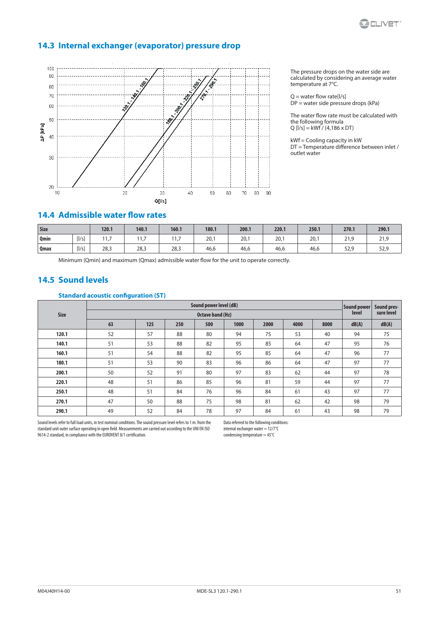

## **14.3 Internal exchanger (evaporator) pressure drop**



The pressure drops on the water side are calculated by considering an average water temperature at 7°C.

 $Q =$  water flow rate[ $I/s$ ]  $DP =$  water side pressure drops (kPa)

The water flow rate must be calculated with the following formula  $Q$  [I/s] = kWf / (4,186 x DT)

kWf = Cooling capacity in kW DT = Temperature difference between inlet / outlet water

## **14.4 Admissible water flow rates**

| <b>Size</b> |       | 120.1                          | 140.1 | 160.1 | 180.1 | 200.1 | 220.1 | 250.1 | 270.1       | 290.1          |
|-------------|-------|--------------------------------|-------|-------|-------|-------|-------|-------|-------------|----------------|
| Qmin        | [1/s] | 11<br>$\overline{\phantom{a}}$ |       |       | 20,1  | 20,   | 20,1  | 20,   | 210<br>21,2 | $\sim$<br>21,7 |
| <b>Qmax</b> | [1/s] | 28,3                           | 28,3  | 28,3  | 46,6  | 46,6  | 46,6  | 46,6  | 52,9        | 52,9           |

Minimum (Qmin) and maximum (Qmax) admissible water flow for the unit to operate correctly.

### **14.5 Sound levels**

#### **Standard acoustic configuration (ST)**

|             |    | Sound power | Sound pres-  |            |      |      |      |      |       |       |
|-------------|----|-------------|--------------|------------|------|------|------|------|-------|-------|
| <b>Size</b> |    |             | <b>level</b> | sure level |      |      |      |      |       |       |
|             | 63 | 125         | 250          | 500        | 1000 | 2000 | 4000 | 8000 | dB(A) | dB(A) |
| 120.1       | 52 | 57          | 88           | 80         | 94   | 75   | 53   | 40   | 94    | 75    |
| 140.1       | 51 | 53          | 88           | 82         | 95   | 85   | 64   | 47   | 95    | 76    |
| 160.1       | 51 | 54          | 88           | 82         | 95   | 85   | 64   | 47   | 96    | 77    |
| 180.1       | 51 | 53          | 90           | 83         | 96   | 86   | 64   | 47   | 97    | 77    |
| 200.1       | 50 | 52          | 91           | 80         | 97   | 83   | 62   | 44   | 97    | 78    |
| 220.1       | 48 | 51          | 86           | 85         | 96   | 81   | 59   | 44   | 97    | 77    |
| 250.1       | 48 | 51          | 84           | 76         | 96   | 84   | 61   | 43   | 97    | 77    |
| 270.1       | 47 | 50          | 88           | 75         | 98   | 81   | 62   | 42   | 98    | 79    |
| 290.1       | 49 | 52          | 84           | 78         | 97   | 84   | 61   | 43   | 98    | 79    |

Sound levels refer to full load units, in test nominal conditions. The sound pressure level refers to 1 m. from the standard unit outer surface operating in open field. Measurements are carried out according to the UNI EN ISO 9614-2 standard, in compliance with the EUROVENT 8/1 certification.

Data referred to the following conditions: internal exchanger water =  $12/7$ °C

condensing temperature =  $45^{\circ}$ C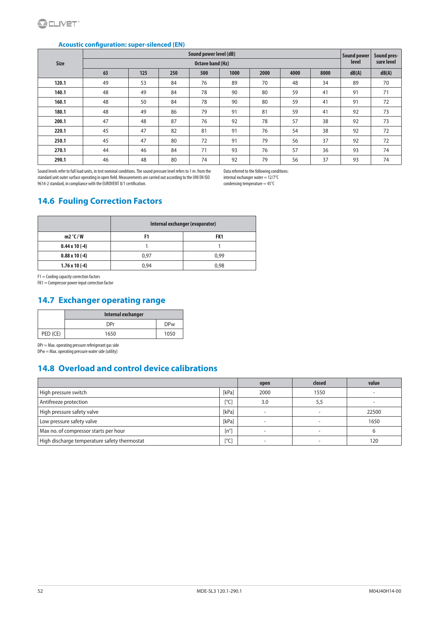#### **Acoustic configuration: super-silenced (EN)**

|             | Sound power level (dB)  |     |     |     |      |      |      |      | Sound power | Sound pres- |
|-------------|-------------------------|-----|-----|-----|------|------|------|------|-------------|-------------|
| <b>Size</b> | <b>Octave band (Hz)</b> |     |     |     |      |      |      |      |             | sure level  |
|             | 63                      | 125 | 250 | 500 | 1000 | 2000 | 4000 | 8000 | dB(A)       | dB(A)       |
| 120.1       | 49                      | 53  | 84  | 76  | 89   | 70   | 48   | 34   | 89          | 70          |
| 140.1       | 48                      | 49  | 84  | 78  | 90   | 80   | 59   | 41   | 91          | 71          |
| 160.1       | 48                      | 50  | 84  | 78  | 90   | 80   | 59   | 41   | 91          | 72          |
| 180.1       | 48                      | 49  | 86  | 79  | 91   | 81   | 59   | 41   | 92          | 73          |
| 200.1       | 47                      | 48  | 87  | 76  | 92   | 78   | 57   | 38   | 92          | 73          |
| 220.1       | 45                      | 47  | 82  | 81  | 91   | 76   | 54   | 38   | 92          | 72          |
| 250.1       | 45                      | 47  | 80  | 72  | 91   | 79   | 56   | 37   | 92          | 72          |
| 270.1       | 44                      | 46  | 84  | 71  | 93   | 76   | 57   | 36   | 93          | 74          |
| 290.1       | 46                      | 48  | 80  | 74  | 92   | 79   | 56   | 37   | 93          | 74          |

Sound levels refer to full load units, in test nominal conditions. The sound pressure level refers to 1 m. from the standard unit outer surface operating in open field. Measurements are carried out according to the UNI EN ISO 9614-2 standard, in compliance with the EUROVENT 8/1 certification.

Data referred to the following conditions: internal exchanger water =  $12/7$ °C

condensing temperature  $=45^{\circ}$ C

## **14.6 Fouling Correction Factors**

|                       | Internal exchanger (evaporator) |      |  |  |  |
|-----------------------|---------------------------------|------|--|--|--|
| $m2^{\circ}$ C/W      |                                 | FK1  |  |  |  |
| $0.44 \times 10 (-4)$ |                                 |      |  |  |  |
| $0.88 \times 10 (-4)$ | 0.97                            | 0.99 |  |  |  |
| $1.76 \times 10 (-4)$ | 0.94                            | 0,98 |  |  |  |

F1 = Cooling capacity correction factors

FK1 = Compressor power input correction factor

### **14.7 Exchanger operating range**

|          | Internal exchanger |            |  |  |  |  |
|----------|--------------------|------------|--|--|--|--|
|          | <b>DPr</b>         | <b>DPw</b> |  |  |  |  |
| PED (CE) | 1650               | 1050       |  |  |  |  |

DPr = Max. operating pressure referigerant gas side

 $DPw = Max$ . operating pressure water side (utility)

## **14.8 Overload and control device calibrations**

|                                              |                           | open | closed | value |
|----------------------------------------------|---------------------------|------|--------|-------|
| High pressure switch                         | [kPa]                     | 2000 | 1550   |       |
| Antifreeze protection                        | $\lceil{^{\circ}C}\rceil$ | 3.0  | 5,5    |       |
| High pressure safety valve                   | [kPa]                     |      |        | 22500 |
| Low pressure safety valve                    | [kPa]                     |      |        | 1650  |
| Max no. of compressor starts per hour        | $[n^{\circ}]$             | . .  |        |       |
| High discharge temperature safety thermostat | [°C]                      |      |        | 120   |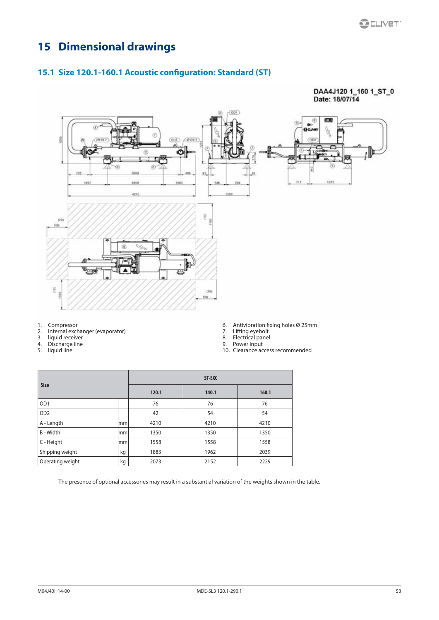# **15 Dimensional drawings**

## **15.1 Size 120.1-160.1 Acoustic configuration: Standard (ST)**



- 1. Compressor
- 2. Internal exchanger (evaporator)
- 3. liquid receiver
- 5. Inquid receiver<br>4. Discharge line<br>5. liquid line
- liquid line
- 6. Antivibration fixing holes Ø 25mm
- 7. Lifting eyebolt
- 8. Electrical panel
- 9. Power input 10. Clearance access recommended

| <b>Size</b>      |      | ST-EXC |       |       |  |  |  |
|------------------|------|--------|-------|-------|--|--|--|
|                  |      | 120.1  | 140.1 | 160.1 |  |  |  |
| OD <sub>1</sub>  |      | 76     | 76    | 76    |  |  |  |
| OD <sub>2</sub>  |      | 42     | 54    | 54    |  |  |  |
| A - Length       | lmml | 4210   | 4210  | 4210  |  |  |  |
| B - Width        | mm   | 1350   | 1350  | 1350  |  |  |  |
| C - Height       | lmml | 1558   | 1558  | 1558  |  |  |  |
| Shipping weight  | kg   | 1883   | 1962  | 2039  |  |  |  |
| Operating weight | kg   | 2073   | 2152  | 2229  |  |  |  |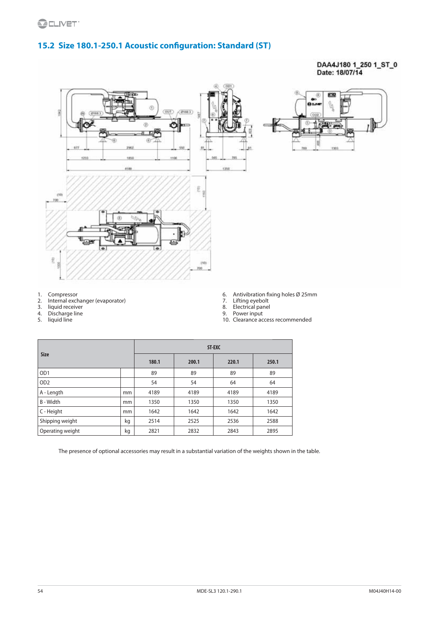# **15.2 Size 180.1-250.1 Acoustic configuration: Standard (ST)**

# з  $\circledR$ c  $871$ 1233 1100 NB 565 sim  $\frac{1}{2}$ ä  $(70)$ 谨 主  $1301$

DAA4J180 1\_250 1\_ST\_0<br>Date: 18/07/14



- 
- 1. Compressor<br>
2. Internal excl<br>
3. liquid receiv<br>
4. Discharge lin<br>
5. liquid line Internal exchanger (evaporator)
- liquid receiver
- Discharge line
- liquid line
- 6. Antivibration fixing holes  $\emptyset$  25mm<br>7. Lifting eyebolt
- 7. Lifting eyebolt
- 8. Electrical panel
- 9. Power input
- 10. Clearance access recommended

5

| <b>Size</b>      |    | ST-EXC |       |       |       |  |  |
|------------------|----|--------|-------|-------|-------|--|--|
|                  |    | 180.1  | 200.1 | 220.1 | 250.1 |  |  |
| OD <sub>1</sub>  |    | 89     | 89    | 89    | 89    |  |  |
| OD <sub>2</sub>  |    | 54     | 54    | 64    | 64    |  |  |
| A - Length       | mm | 4189   | 4189  | 4189  | 4189  |  |  |
| B - Width        | mm | 1350   | 1350  | 1350  | 1350  |  |  |
| C - Height       | mm | 1642   | 1642  | 1642  | 1642  |  |  |
| Shipping weight  | kg | 2514   | 2525  | 2536  | 2588  |  |  |
| Operating weight | kg | 2821   | 2832  | 2843  | 2895  |  |  |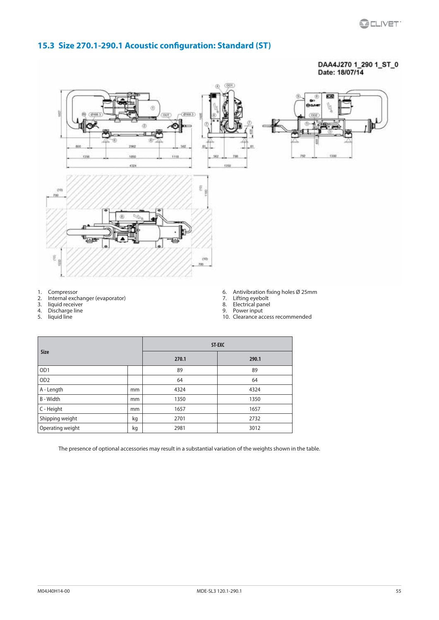# **15.3 Size 270.1-290.1 Acoustic configuration: Standard (ST)**

# DAA4J270 1\_290 1\_ST\_0<br>Date: 18/07/14

670

1300



- 1. Compressor
- 2. Internal exchanger (evaporator)
- 3. liquid receiver
- 4. Discharge line 5. liquid rece<br>
5. liquid line
- 
- 6. Antivibration fixing holes Ø 25mm
- 7. Lifting eyebolt
- 8. Electrical panel
- 9. Power input
- 10. Clearance access recommended

|                  |    | ST-EXC |       |  |  |
|------------------|----|--------|-------|--|--|
| <b>Size</b>      |    | 270.1  | 290.1 |  |  |
| OD <sub>1</sub>  |    | 89     | 89    |  |  |
| OD <sub>2</sub>  |    | 64     | 64    |  |  |
| A - Length       | mm | 4324   | 4324  |  |  |
| B - Width        | mm | 1350   | 1350  |  |  |
| C - Height       | mm | 1657   | 1657  |  |  |
| Shipping weight  | kg | 2701   | 2732  |  |  |
| Operating weight | kg | 2981   | 3012  |  |  |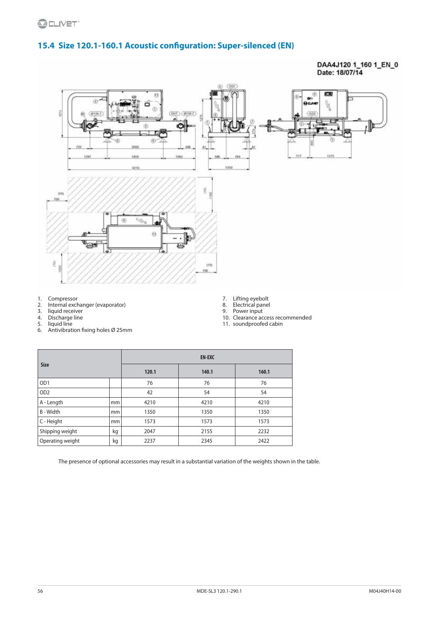# **15.4 Size 120.1-160.1 Acoustic configuration: Super-silenced (EN)**

DAA4J120 1\_160 1\_EN\_0<br>Date: 18/07/14



- 1. Compressor
- 2. Internal exchanger (evaporator)
- 1. Compressor<br>2. Internal exchai<br>3. liquid receiver<br>4. Discharge line
- 
- 4. Discharge line<br>5. liquid line<br>6. Antivibration f liquid line Antivibration fixing holes Ø 25mm
- 7. Lifting eyebolt
- 8. Electrical panel
- 9. Power input
- 10. Clearance access recommended 11. soundproofed cabin
- 

|                  |    | <b>EN-EXC</b> |       |       |  |  |  |
|------------------|----|---------------|-------|-------|--|--|--|
| <b>Size</b>      |    | 120.1         | 140.1 | 160.1 |  |  |  |
| OD <sub>1</sub>  |    | 76            | 76    | 76    |  |  |  |
| OD <sub>2</sub>  |    | 42            | 54    | 54    |  |  |  |
| A - Length       | mm | 4210          | 4210  | 4210  |  |  |  |
| B - Width        | mm | 1350          | 1350  | 1350  |  |  |  |
| C - Height       | mm | 1573          | 1573  | 1573  |  |  |  |
| Shipping weight  | kg | 2047          | 2155  | 2232  |  |  |  |
| Operating weight | kg | 2237          | 2345  | 2422  |  |  |  |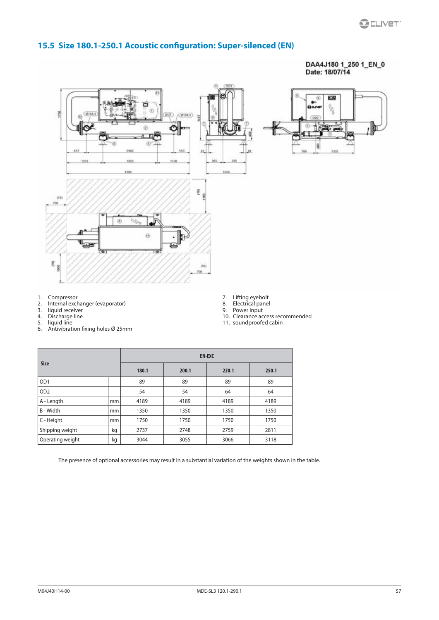# **15.5 Size 180.1-250.1 Acoustic configuration: Super-silenced (EN)**

#### DAA4J180 1\_250 1\_EN\_0 Date: 18/07/14



國 面 V, 掴

- 1. Compressor<br>2. Internal excl<br>3. liquid receiv
- Internal exchanger (evaporator)
- 
- 4. Discharge line
- 3. liquid receiver<br>4. Discharge line<br>5. liquid line<br>6. Antivibration f 5. liquid line
- 6. Antivibration fixing holes Ø 25mm
- 7. Lifting eyebolt
- 8. Electrical panel
- 9. Power input
- 10. Clearance access recommended
- 11. soundproofed cabin

| <b>Size</b>      |    | <b>EN-EXC</b> |       |       |       |  |  |  |
|------------------|----|---------------|-------|-------|-------|--|--|--|
|                  |    | 180.1         | 200.1 | 220.1 | 250.1 |  |  |  |
| OD <sub>1</sub>  |    | 89            | 89    | 89    | 89    |  |  |  |
| OD <sub>2</sub>  |    | 54            | 54    | 64    | 64    |  |  |  |
| A - Length       | mm | 4189          | 4189  | 4189  | 4189  |  |  |  |
| B - Width        | mm | 1350          | 1350  | 1350  | 1350  |  |  |  |
| C - Height       | mm | 1750          | 1750  | 1750  | 1750  |  |  |  |
| Shipping weight  | kg | 2737          | 2748  | 2759  | 2811  |  |  |  |
| Operating weight | kg | 3044          | 3055  | 3066  | 3118  |  |  |  |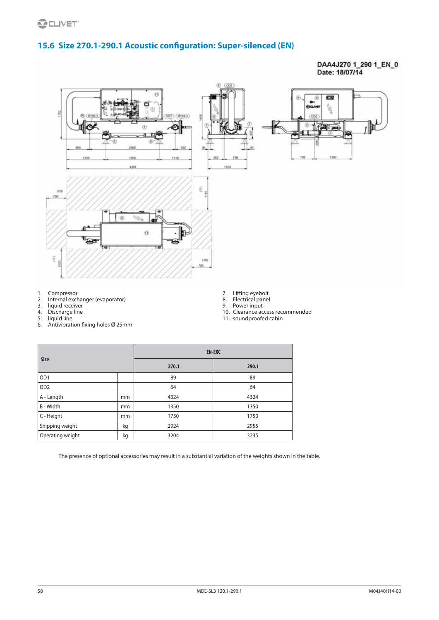# **15.6 Size 270.1-290.1 Acoustic configuration: Super-silenced (EN)**

# DAA4J270 1\_290 1\_EN\_0<br>Date: 18/07/14



- 1. Compressor<br>2. Internal excl
- 2. Internal exchanger (evaporator)<br>
3. liquid receiver<br>
4. Discharge line
- liquid receiver
- 4. Discharge line<br>5. liquid line
- 5. liquid line<br>6. Antivibrat
- Antivibration fixing holes Ø 25mm
- 7. Lifting eyebolt
- 8. Electrical panel
- 9. Power input
- 10. Clearance access recommended
- 11. soundproofed cabin

| <b>Size</b>      |    | <b>EN-EXC</b> |       |  |  |
|------------------|----|---------------|-------|--|--|
|                  |    | 270.1         | 290.1 |  |  |
| OD <sub>1</sub>  |    | 89            | 89    |  |  |
| OD <sub>2</sub>  |    | 64            | 64    |  |  |
| A - Length       | mm | 4324          | 4324  |  |  |
| B - Width        | mm | 1350          | 1350  |  |  |
| C - Height       | mm | 1750          | 1750  |  |  |
| Shipping weight  | kg | 2924          | 2955  |  |  |
| Operating weight | kg | 3204          | 3235  |  |  |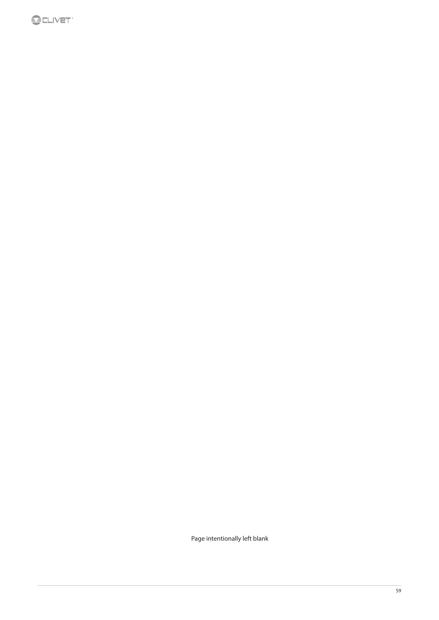

Page intentionally left blank